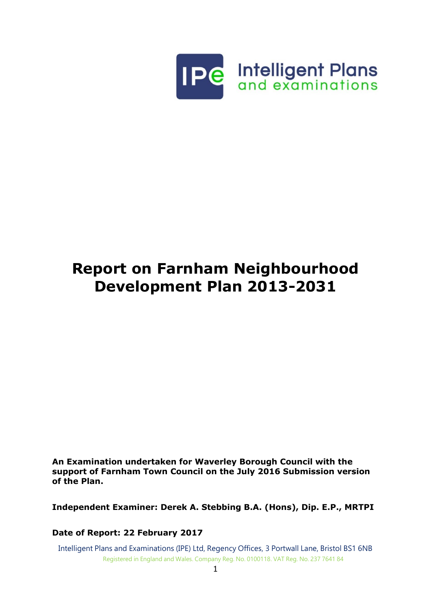

# **Report on Farnham Neighbourhood Development Plan 2013-2031**

**An Examination undertaken for Waverley Borough Council with the support of Farnham Town Council on the July 2016 Submission version of the Plan.**

**Independent Examiner: Derek A. Stebbing B.A. (Hons), Dip. E.P., MRTPI**

**Date of Report: 22 February 2017**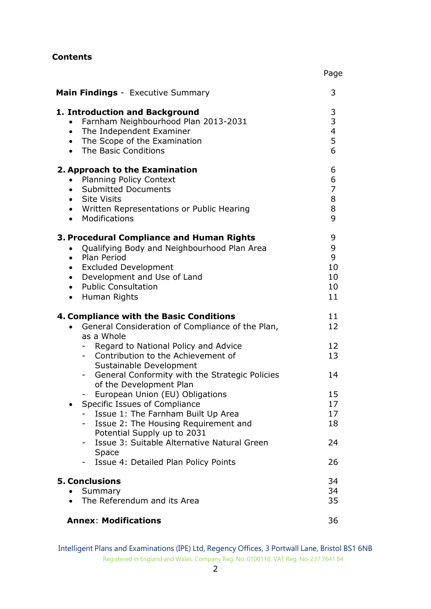## **Contents**

| <b>Main Findings</b> - Executive Summary                                                                                                                                                                                                                                                          | 3                                                        |
|---------------------------------------------------------------------------------------------------------------------------------------------------------------------------------------------------------------------------------------------------------------------------------------------------|----------------------------------------------------------|
| 1. Introduction and Background<br>Farnham Neighbourhood Plan 2013-2031<br>$\bullet$<br>The Independent Examiner<br>$\bullet$<br>The Scope of the Examination<br>$\bullet$<br>The Basic Conditions<br>$\bullet$                                                                                    | 3<br>$\overline{3}$<br>$\overline{\mathbf{4}}$<br>5<br>6 |
| 2. Approach to the Examination<br><b>Planning Policy Context</b><br>$\bullet$<br><b>Submitted Documents</b><br>$\bullet$<br>Site Visits<br>$\bullet$<br>• Written Representations or Public Hearing<br>• Modifications                                                                            | 6<br>6<br>$\overline{7}$<br>8<br>8<br>9                  |
| 3. Procedural Compliance and Human Rights<br>Qualifying Body and Neighbourhood Plan Area<br>$\bullet$<br>Plan Period<br>$\bullet$<br><b>Excluded Development</b><br>$\bullet$<br>Development and Use of Land<br>$\bullet$<br><b>Public Consultation</b><br>$\bullet$<br>Human Rights<br>$\bullet$ | 9<br>9<br>9<br>10<br>10<br>10<br>11                      |
| 4. Compliance with the Basic Conditions<br>General Consideration of Compliance of the Plan,<br>$\bullet$                                                                                                                                                                                          | 11<br>12                                                 |
| as a Whole<br>- Regard to National Policy and Advice<br>- Contribution to the Achievement of                                                                                                                                                                                                      | 12<br>13                                                 |
| Sustainable Development<br>General Conformity with the Strategic Policies<br>of the Development Plan                                                                                                                                                                                              | 14                                                       |
| European Union (EU) Obligations<br>Specific Issues of Compliance<br>Issue 1: The Farnham Built Up Area<br>Issue 2: The Housing Requirement and<br>Potential Supply up to 2031                                                                                                                     | 15<br>17<br>17<br>18                                     |
| Issue 3: Suitable Alternative Natural Green<br>$\sim$<br><b>Space</b>                                                                                                                                                                                                                             | 24                                                       |
| Issue 4: Detailed Plan Policy Points                                                                                                                                                                                                                                                              | 26                                                       |
| <b>5. Conclusions</b><br>Summary<br>The Referendum and its Area                                                                                                                                                                                                                                   | 34<br>34<br>35                                           |
| <b>Annex: Modifications</b>                                                                                                                                                                                                                                                                       | 36                                                       |

Page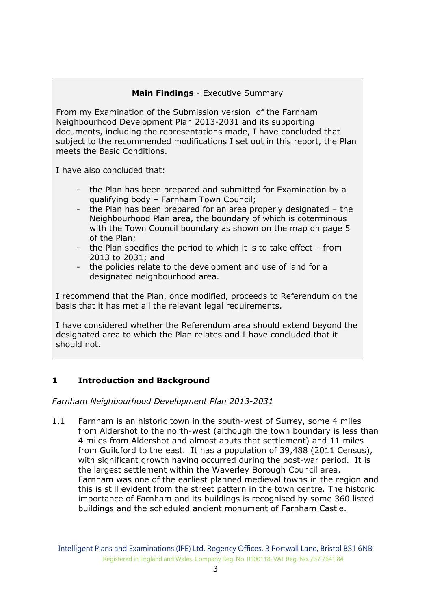## **Main Findings** - Executive Summary

From my Examination of the Submission version of the Farnham Neighbourhood Development Plan 2013-2031 and its supporting documents, including the representations made, I have concluded that subject to the recommended modifications I set out in this report, the Plan meets the Basic Conditions.

I have also concluded that:

- the Plan has been prepared and submitted for Examination by a qualifying body – Farnham Town Council;
- the Plan has been prepared for an area properly designated the Neighbourhood Plan area, the boundary of which is coterminous with the Town Council boundary as shown on the map on page 5 of the Plan;
- the Plan specifies the period to which it is to take effect from 2013 to 2031; and
- the policies relate to the development and use of land for a designated neighbourhood area.

I recommend that the Plan, once modified, proceeds to Referendum on the basis that it has met all the relevant legal requirements.

I have considered whether the Referendum area should extend beyond the designated area to which the Plan relates and I have concluded that it should not.

#### **1 Introduction and Background**

*Farnham Neighbourhood Development Plan 2013-2031*

1.1 Farnham is an historic town in the south-west of Surrey, some 4 miles from Aldershot to the north-west (although the town boundary is less than 4 miles from Aldershot and almost abuts that settlement) and 11 miles from Guildford to the east. It has a population of 39,488 (2011 Census), with significant growth having occurred during the post-war period. It is the largest settlement within the Waverley Borough Council area. Farnham was one of the earliest planned medieval towns in the region and this is still evident from the street pattern in the town centre. The historic importance of Farnham and its buildings is recognised by some 360 listed buildings and the scheduled ancient monument of Farnham Castle.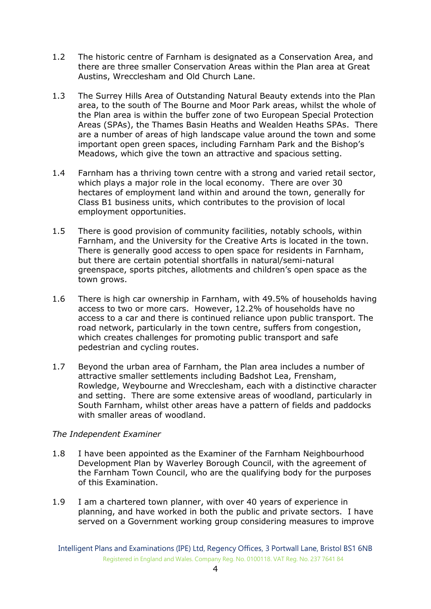- 1.2 The historic centre of Farnham is designated as a Conservation Area, and there are three smaller Conservation Areas within the Plan area at Great Austins, Wrecclesham and Old Church Lane.
- 1.3 The Surrey Hills Area of Outstanding Natural Beauty extends into the Plan area, to the south of The Bourne and Moor Park areas, whilst the whole of the Plan area is within the buffer zone of two European Special Protection Areas (SPAs), the Thames Basin Heaths and Wealden Heaths SPAs. There are a number of areas of high landscape value around the town and some important open green spaces, including Farnham Park and the Bishop's Meadows, which give the town an attractive and spacious setting.
- 1.4 Farnham has a thriving town centre with a strong and varied retail sector, which plays a major role in the local economy. There are over 30 hectares of employment land within and around the town, generally for Class B1 business units, which contributes to the provision of local employment opportunities.
- 1.5 There is good provision of community facilities, notably schools, within Farnham, and the University for the Creative Arts is located in the town. There is generally good access to open space for residents in Farnham, but there are certain potential shortfalls in natural/semi-natural greenspace, sports pitches, allotments and children's open space as the town grows.
- 1.6 There is high car ownership in Farnham, with 49.5% of households having access to two or more cars. However, 12.2% of households have no access to a car and there is continued reliance upon public transport. The road network, particularly in the town centre, suffers from congestion, which creates challenges for promoting public transport and safe pedestrian and cycling routes.
- 1.7 Beyond the urban area of Farnham, the Plan area includes a number of attractive smaller settlements including Badshot Lea, Frensham, Rowledge, Weybourne and Wrecclesham, each with a distinctive character and setting. There are some extensive areas of woodland, particularly in South Farnham, whilst other areas have a pattern of fields and paddocks with smaller areas of woodland.

#### *The Independent Examiner*

- 1.8 I have been appointed as the Examiner of the Farnham Neighbourhood Development Plan by Waverley Borough Council, with the agreement of the Farnham Town Council, who are the qualifying body for the purposes of this Examination.
- 1.9 I am a chartered town planner, with over 40 years of experience in planning, and have worked in both the public and private sectors. I have served on a Government working group considering measures to improve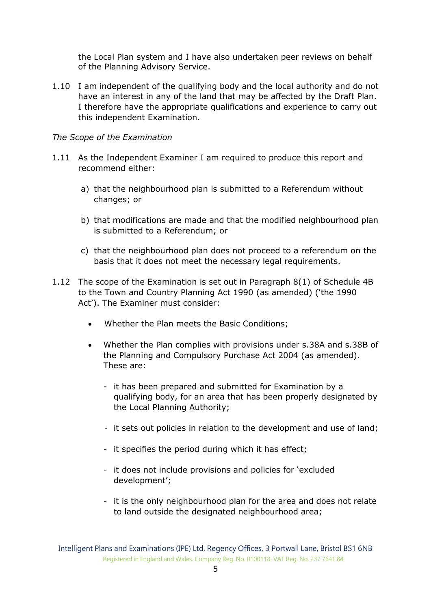the Local Plan system and I have also undertaken peer reviews on behalf of the Planning Advisory Service.

1.10 I am independent of the qualifying body and the local authority and do not have an interest in any of the land that may be affected by the Draft Plan. I therefore have the appropriate qualifications and experience to carry out this independent Examination.

#### *The Scope of the Examination*

- 1.11 As the Independent Examiner I am required to produce this report and recommend either:
	- a) that the neighbourhood plan is submitted to a Referendum without changes; or
	- b) that modifications are made and that the modified neighbourhood plan is submitted to a Referendum; or
	- c) that the neighbourhood plan does not proceed to a referendum on the basis that it does not meet the necessary legal requirements.
- 1.12 The scope of the Examination is set out in Paragraph 8(1) of Schedule 4B to the Town and Country Planning Act 1990 (as amended) ('the 1990 Act'). The Examiner must consider:
	- Whether the Plan meets the Basic Conditions;
	- Whether the Plan complies with provisions under s.38A and s.38B of the Planning and Compulsory Purchase Act 2004 (as amended). These are:
		- it has been prepared and submitted for Examination by a qualifying body, for an area that has been properly designated by the Local Planning Authority;
		- it sets out policies in relation to the development and use of land;
		- it specifies the period during which it has effect;
		- it does not include provisions and policies for 'excluded development';
		- it is the only neighbourhood plan for the area and does not relate to land outside the designated neighbourhood area;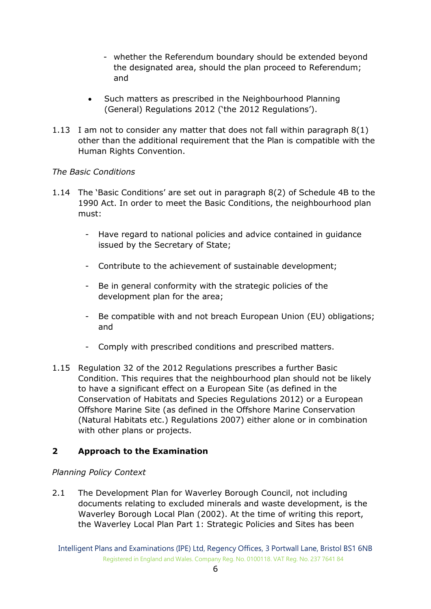- whether the Referendum boundary should be extended beyond the designated area, should the plan proceed to Referendum; and
- Such matters as prescribed in the Neighbourhood Planning (General) Regulations 2012 ('the 2012 Regulations').
- 1.13 I am not to consider any matter that does not fall within paragraph 8(1) other than the additional requirement that the Plan is compatible with the Human Rights Convention.

## *The Basic Conditions*

- 1.14 The 'Basic Conditions' are set out in paragraph 8(2) of Schedule 4B to the 1990 Act. In order to meet the Basic Conditions, the neighbourhood plan must:
	- Have regard to national policies and advice contained in guidance issued by the Secretary of State;
	- Contribute to the achievement of sustainable development;
	- Be in general conformity with the strategic policies of the development plan for the area;
	- Be compatible with and not breach European Union (EU) obligations; and
	- Comply with prescribed conditions and prescribed matters.
- 1.15 Regulation 32 of the 2012 Regulations prescribes a further Basic Condition. This requires that the neighbourhood plan should not be likely to have a significant effect on a European Site (as defined in the Conservation of Habitats and Species Regulations 2012) or a European Offshore Marine Site (as defined in the Offshore Marine Conservation (Natural Habitats etc.) Regulations 2007) either alone or in combination with other plans or projects.

## **2 Approach to the Examination**

## *Planning Policy Context*

2.1 The Development Plan for Waverley Borough Council, not including documents relating to excluded minerals and waste development, is the Waverley Borough Local Plan (2002). At the time of writing this report, the Waverley Local Plan Part 1: Strategic Policies and Sites has been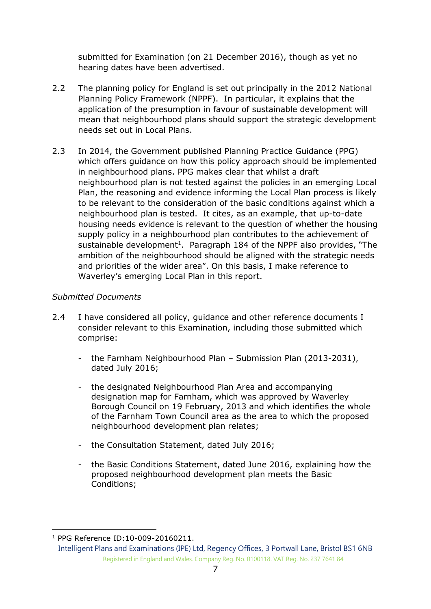submitted for Examination (on 21 December 2016), though as yet no hearing dates have been advertised.

- 2.2 The planning policy for England is set out principally in the 2012 National Planning Policy Framework (NPPF). In particular, it explains that the application of the presumption in favour of sustainable development will mean that neighbourhood plans should support the strategic development needs set out in Local Plans.
- 2.3 In 2014, the Government published Planning Practice Guidance (PPG) which offers guidance on how this policy approach should be implemented in neighbourhood plans. PPG makes clear that whilst a draft neighbourhood plan is not tested against the policies in an emerging Local Plan, the reasoning and evidence informing the Local Plan process is likely to be relevant to the consideration of the basic conditions against which a neighbourhood plan is tested. It cites, as an example, that up-to-date housing needs evidence is relevant to the question of whether the housing supply policy in a neighbourhood plan contributes to the achievement of sustainable development<sup>1</sup>. Paragraph 184 of the NPPF also provides, "The ambition of the neighbourhood should be aligned with the strategic needs and priorities of the wider area". On this basis, I make reference to Waverley's emerging Local Plan in this report.

## *Submitted Documents*

- 2.4 I have considered all policy, quidance and other reference documents I consider relevant to this Examination, including those submitted which comprise:
	- the Farnham Neighbourhood Plan Submission Plan (2013-2031), dated July 2016;
	- the designated Neighbourhood Plan Area and accompanying designation map for Farnham, which was approved by Waverley Borough Council on 19 February, 2013 and which identifies the whole of the Farnham Town Council area as the area to which the proposed neighbourhood development plan relates;
	- the Consultation Statement, dated July 2016;
	- the Basic Conditions Statement, dated June 2016, explaining how the proposed neighbourhood development plan meets the Basic Conditions;

-

<sup>1</sup> PPG Reference ID:10-009-20160211.

Intelligent Plans and Examinations (IPE) Ltd, Regency Offices, 3 Portwall Lane, Bristol BS1 6NB Registered in England and Wales. Company Reg. No. 0100118. VAT Reg. No. 237 7641 84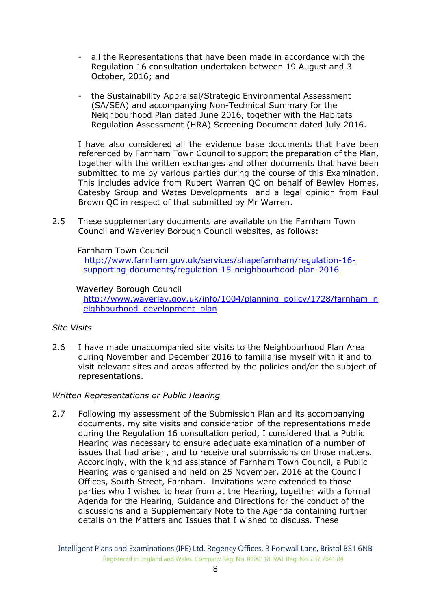- all the Representations that have been made in accordance with the Regulation 16 consultation undertaken between 19 August and 3 October, 2016; and
- the Sustainability Appraisal/Strategic Environmental Assessment (SA/SEA) and accompanying Non-Technical Summary for the Neighbourhood Plan dated June 2016, together with the Habitats Regulation Assessment (HRA) Screening Document dated July 2016.

I have also considered all the evidence base documents that have been referenced by Farnham Town Council to support the preparation of the Plan, together with the written exchanges and other documents that have been submitted to me by various parties during the course of this Examination. This includes [advice from Rupert Warren QC on behalf of Bewley Homes,](http://www.waverley.gov.uk/downloads/file/5439/advice_from_rupert_warren_qc_on_behalf_of_bewley_homes_catesby_group_and_wates_development)  [Catesby Group and Wates Developments](http://www.waverley.gov.uk/downloads/file/5439/advice_from_rupert_warren_qc_on_behalf_of_bewley_homes_catesby_group_and_wates_development) and a l[egal opinion from Paul](http://www.waverley.gov.uk/downloads/file/5441/legal_opinion_from_paul_brown_qc_in_respect_of_that_submitted_by_rupert_warren_qc)  [Brown QC in respect of that submitted by Mr Warren.](http://www.waverley.gov.uk/downloads/file/5441/legal_opinion_from_paul_brown_qc_in_respect_of_that_submitted_by_rupert_warren_qc)

2.5 These supplementary documents are available on the Farnham Town Council and Waverley Borough Council websites, as follows:

#### Farnham Town Council

 [http://www.farnham.gov.uk/services/shapefarnham/regulation-16](http://www.farnham.gov.uk/services/shapefarnham/regulation-16-%20%20%20%20supporting-documents/regulation-15-neighbourhood-plan-2016)  [supporting-documents/regulation-15-neighbourhood-plan-2016](http://www.farnham.gov.uk/services/shapefarnham/regulation-16-%20%20%20%20supporting-documents/regulation-15-neighbourhood-plan-2016)

#### Waverley Borough Council

[http://www.waverley.gov.uk/info/1004/planning\\_policy/1728/farnham\\_n](http://www.waverley.gov.uk/info/1004/planning_policy/1728/farnham_neighbourhood_development_plan) eighbourhood development plan

#### *Site Visits*

2.6 I have made unaccompanied site visits to the Neighbourhood Plan Area during November and December 2016 to familiarise myself with it and to visit relevant sites and areas affected by the policies and/or the subject of representations.

#### *Written Representations or Public Hearing*

2.7 Following my assessment of the Submission Plan and its accompanying documents, my site visits and consideration of the representations made during the Regulation 16 consultation period, I considered that a Public Hearing was necessary to ensure adequate examination of a number of issues that had arisen, and to receive oral submissions on those matters. Accordingly, with the kind assistance of Farnham Town Council, a Public Hearing was organised and held on 25 November, 2016 at the Council Offices, South Street, Farnham. Invitations were extended to those parties who I wished to hear from at the Hearing, together with a formal Agenda for the Hearing, Guidance and Directions for the conduct of the discussions and a Supplementary Note to the Agenda containing further details on the Matters and Issues that I wished to discuss. These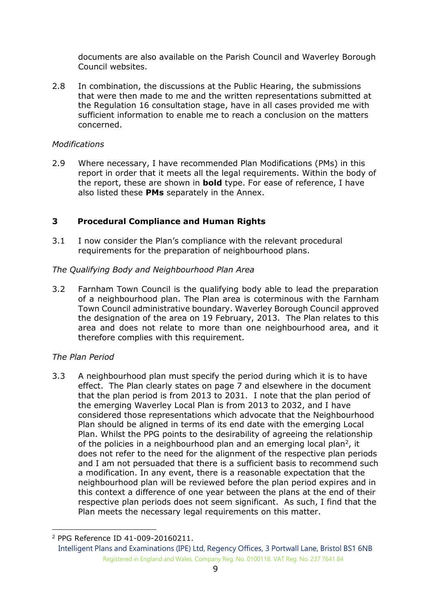documents are also available on the Parish Council and Waverley Borough Council websites.

2.8 In combination, the discussions at the Public Hearing, the submissions that were then made to me and the written representations submitted at the Regulation 16 consultation stage, have in all cases provided me with sufficient information to enable me to reach a conclusion on the matters concerned.

#### *Modifications*

2.9 Where necessary, I have recommended Plan Modifications (PMs) in this report in order that it meets all the legal requirements. Within the body of the report, these are shown in **bold** type. For ease of reference, I have also listed these **PMs** separately in the Annex.

#### **3 Procedural Compliance and Human Rights**

3.1 I now consider the Plan's compliance with the relevant procedural requirements for the preparation of neighbourhood plans.

#### *The Qualifying Body and Neighbourhood Plan Area*

3.2 Farnham Town Council is the qualifying body able to lead the preparation of a neighbourhood plan. The Plan area is coterminous with the Farnham Town Council administrative boundary. Waverley Borough Council approved the designation of the area on 19 February, 2013. The Plan relates to this area and does not relate to more than one neighbourhood area, and it therefore complies with this requirement.

#### *The Plan Period*

-

3.3 A neighbourhood plan must specify the period during which it is to have effect. The Plan clearly states on page 7 and elsewhere in the document that the plan period is from 2013 to 2031. I note that the plan period of the emerging Waverley Local Plan is from 2013 to 2032, and I have considered those representations which advocate that the Neighbourhood Plan should be aligned in terms of its end date with the emerging Local Plan. Whilst the PPG points to the desirability of agreeing the relationship of the policies in a neighbourhood plan and an emerging local plan<sup>2</sup>, it does not refer to the need for the alignment of the respective plan periods and I am not persuaded that there is a sufficient basis to recommend such a modification. In any event, there is a reasonable expectation that the neighbourhood plan will be reviewed before the plan period expires and in this context a difference of one year between the plans at the end of their respective plan periods does not seem significant. As such, I find that the Plan meets the necessary legal requirements on this matter.

<sup>2</sup> PPG Reference ID 41-009-20160211.

Intelligent Plans and Examinations (IPE) Ltd, Regency Offices, 3 Portwall Lane, Bristol BS1 6NB Registered in England and Wales. Company Reg. No. 0100118. VAT Reg. No. 237 7641 84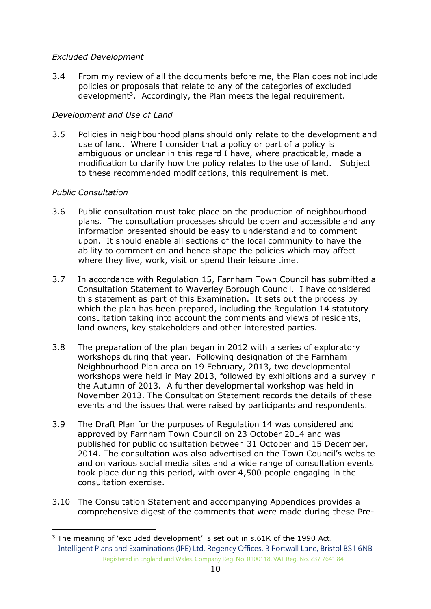## *Excluded Development*

3.4 From my review of all the documents before me, the Plan does not include policies or proposals that relate to any of the categories of excluded development<sup>3</sup>. Accordingly, the Plan meets the legal requirement.

## *Development and Use of Land*

3.5 Policies in neighbourhood plans should only relate to the development and use of land. Where I consider that a policy or part of a policy is ambiguous or unclear in this regard I have, where practicable, made a modification to clarify how the policy relates to the use of land. Subject to these recommended modifications, this requirement is met.

## *Public Consultation*

-

- 3.6 Public consultation must take place on the production of neighbourhood plans. The consultation processes should be open and accessible and any information presented should be easy to understand and to comment upon. It should enable all sections of the local community to have the ability to comment on and hence shape the policies which may affect where they live, work, visit or spend their leisure time.
- 3.7 In accordance with Regulation 15, Farnham Town Council has submitted a Consultation Statement to Waverley Borough Council. I have considered this statement as part of this Examination. It sets out the process by which the plan has been prepared, including the Regulation 14 statutory consultation taking into account the comments and views of residents, land owners, key stakeholders and other interested parties.
- 3.8 The preparation of the plan began in 2012 with a series of exploratory workshops during that year. Following designation of the Farnham Neighbourhood Plan area on 19 February, 2013, two developmental workshops were held in May 2013, followed by exhibitions and a survey in the Autumn of 2013. A further developmental workshop was held in November 2013. The Consultation Statement records the details of these events and the issues that were raised by participants and respondents.
- 3.9 The Draft Plan for the purposes of Regulation 14 was considered and approved by Farnham Town Council on 23 October 2014 and was published for public consultation between 31 October and 15 December, 2014. The consultation was also advertised on the Town Council's website and on various social media sites and a wide range of consultation events took place during this period, with over 4,500 people engaging in the consultation exercise.
- 3.10 The Consultation Statement and accompanying Appendices provides a comprehensive digest of the comments that were made during these Pre-

Intelligent Plans and Examinations (IPE) Ltd, Regency Offices, 3 Portwall Lane, Bristol BS1 6NB Registered in England and Wales. Company Reg. No. 0100118. VAT Reg. No. 237 7641 84 <sup>3</sup> The meaning of 'excluded development' is set out in s.61K of the 1990 Act.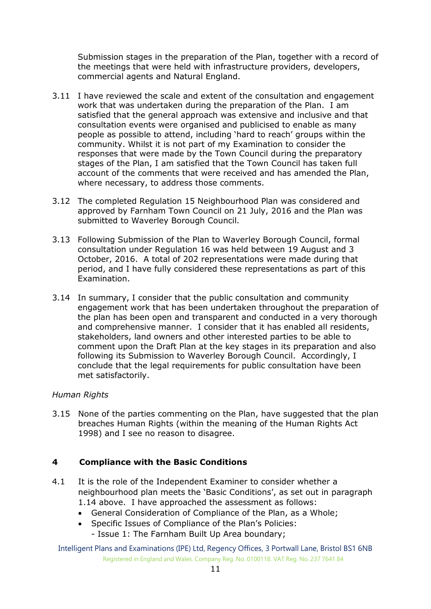Submission stages in the preparation of the Plan, together with a record of the meetings that were held with infrastructure providers, developers, commercial agents and Natural England.

- 3.11 I have reviewed the scale and extent of the consultation and engagement work that was undertaken during the preparation of the Plan. I am satisfied that the general approach was extensive and inclusive and that consultation events were organised and publicised to enable as many people as possible to attend, including 'hard to reach' groups within the community. Whilst it is not part of my Examination to consider the responses that were made by the Town Council during the preparatory stages of the Plan, I am satisfied that the Town Council has taken full account of the comments that were received and has amended the Plan, where necessary, to address those comments.
- 3.12 The completed Regulation 15 Neighbourhood Plan was considered and approved by Farnham Town Council on 21 July, 2016 and the Plan was submitted to Waverley Borough Council.
- 3.13 Following Submission of the Plan to Waverley Borough Council, formal consultation under Regulation 16 was held between 19 August and 3 October, 2016. A total of 202 representations were made during that period, and I have fully considered these representations as part of this Examination.
- 3.14 In summary, I consider that the public consultation and community engagement work that has been undertaken throughout the preparation of the plan has been open and transparent and conducted in a very thorough and comprehensive manner. I consider that it has enabled all residents, stakeholders, land owners and other interested parties to be able to comment upon the Draft Plan at the key stages in its preparation and also following its Submission to Waverley Borough Council. Accordingly, I conclude that the legal requirements for public consultation have been met satisfactorily.

#### *Human Rights*

3.15 None of the parties commenting on the Plan, have suggested that the plan breaches Human Rights (within the meaning of the Human Rights Act 1998) and I see no reason to disagree.

#### **4 Compliance with the Basic Conditions**

- 4.1 It is the role of the Independent Examiner to consider whether a neighbourhood plan meets the 'Basic Conditions', as set out in paragraph 1.14 above. I have approached the assessment as follows:
	- General Consideration of Compliance of the Plan, as a Whole;
	- Specific Issues of Compliance of the Plan's Policies:
		- Issue 1: The Farnham Built Up Area boundary;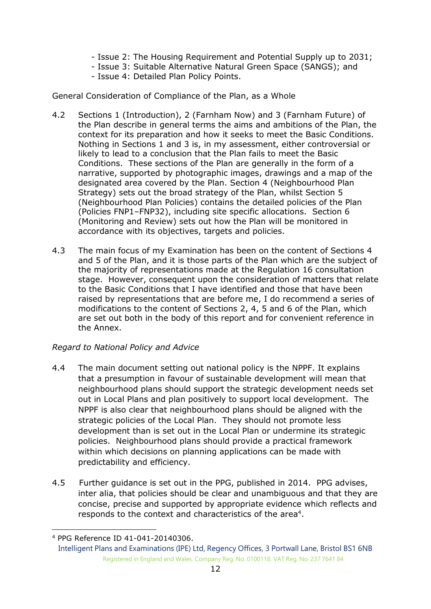- Issue 2: The Housing Requirement and Potential Supply up to 2031;
- Issue 3: Suitable Alternative Natural Green Space (SANGS); and
- Issue 4: Detailed Plan Policy Points.

General Consideration of Compliance of the Plan, as a Whole

- 4.2 Sections 1 (Introduction), 2 (Farnham Now) and 3 (Farnham Future) of the Plan describe in general terms the aims and ambitions of the Plan, the context for its preparation and how it seeks to meet the Basic Conditions. Nothing in Sections 1 and 3 is, in my assessment, either controversial or likely to lead to a conclusion that the Plan fails to meet the Basic Conditions. These sections of the Plan are generally in the form of a narrative, supported by photographic images, drawings and a map of the designated area covered by the Plan. Section 4 (Neighbourhood Plan Strategy) sets out the broad strategy of the Plan, whilst Section 5 (Neighbourhood Plan Policies) contains the detailed policies of the Plan (Policies FNP1–FNP32), including site specific allocations. Section 6 (Monitoring and Review) sets out how the Plan will be monitored in accordance with its objectives, targets and policies.
- 4.3 The main focus of my Examination has been on the content of Sections 4 and 5 of the Plan, and it is those parts of the Plan which are the subject of the majority of representations made at the Regulation 16 consultation stage. However, consequent upon the consideration of matters that relate to the Basic Conditions that I have identified and those that have been raised by representations that are before me, I do recommend a series of modifications to the content of Sections 2, 4, 5 and 6 of the Plan, which are set out both in the body of this report and for convenient reference in the Annex.

## *Regard to National Policy and Advice*

- 4.4 The main document setting out national policy is the NPPF. It explains that a presumption in favour of sustainable development will mean that neighbourhood plans should support the strategic development needs set out in Local Plans and plan positively to support local development. The NPPF is also clear that neighbourhood plans should be aligned with the strategic policies of the Local Plan. They should not promote less development than is set out in the Local Plan or undermine its strategic policies. Neighbourhood plans should provide a practical framework within which decisions on planning applications can be made with predictability and efficiency.
- 4.5 Further guidance is set out in the PPG, published in 2014. PPG advises, inter alia, that policies should be clear and unambiguous and that they are concise, precise and supported by appropriate evidence which reflects and responds to the context and characteristics of the area<sup>4</sup>.

-

<sup>4</sup> PPG Reference ID 41-041-20140306.

Intelligent Plans and Examinations (IPE) Ltd, Regency Offices, 3 Portwall Lane, Bristol BS1 6NB Registered in England and Wales. Company Reg. No. 0100118. VAT Reg. No. 237 7641 84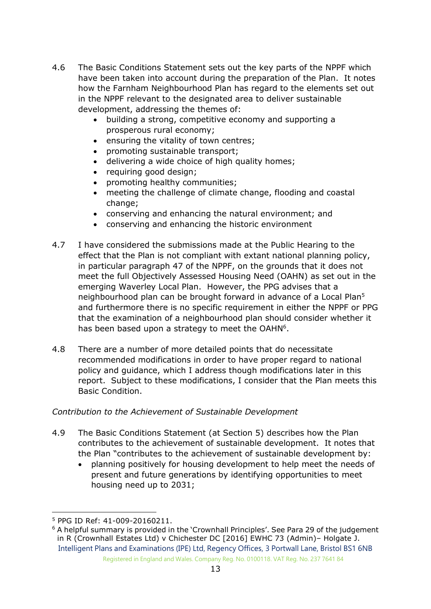- 4.6 The Basic Conditions Statement sets out the key parts of the NPPF which have been taken into account during the preparation of the Plan. It notes how the Farnham Neighbourhood Plan has regard to the elements set out in the NPPF relevant to the designated area to deliver sustainable development, addressing the themes of:
	- building a strong, competitive economy and supporting a prosperous rural economy;
	- ensuring the vitality of town centres;
	- promoting sustainable transport;
	- delivering a wide choice of high quality homes;
	- requiring good design;
	- promoting healthy communities;
	- meeting the challenge of climate change, flooding and coastal change:
	- conserving and enhancing the natural environment; and
	- conserving and enhancing the historic environment
- 4.7 I have considered the submissions made at the Public Hearing to the effect that the Plan is not compliant with extant national planning policy, in particular paragraph 47 of the NPPF, on the grounds that it does not meet the full Objectively Assessed Housing Need (OAHN) as set out in the emerging Waverley Local Plan. However, the PPG advises that a neighbourhood plan can be brought forward in advance of a Local Plan<sup>5</sup> and furthermore there is no specific requirement in either the NPPF or PPG that the examination of a neighbourhood plan should consider whether it has been based upon a strategy to meet the OAH $N^6$ .
- 4.8 There are a number of more detailed points that do necessitate recommended modifications in order to have proper regard to national policy and guidance, which I address though modifications later in this report. Subject to these modifications, I consider that the Plan meets this Basic Condition.

#### *Contribution to the Achievement of Sustainable Development*

- 4.9 The Basic Conditions Statement (at Section 5) describes how the Plan contributes to the achievement of sustainable development. It notes that the Plan "contributes to the achievement of sustainable development by:
	- planning positively for housing development to help meet the needs of present and future generations by identifying opportunities to meet housing need up to 2031;

<sup>-</sup><sup>5</sup> PPG ID Ref: 41-009-20160211.

Intelligent Plans and Examinations (IPE) Ltd, Regency Offices, 3 Portwall Lane, Bristol BS1 6NB Registered in England and Wales. Company Reg. No. 0100118. VAT Reg. No. 237 7641 84  $6$  A helpful summary is provided in the 'Crownhall Principles'. See Para 29 of the judgement in R (Crownhall Estates Ltd) v Chichester DC [2016] EWHC 73 (Admin)– Holgate J.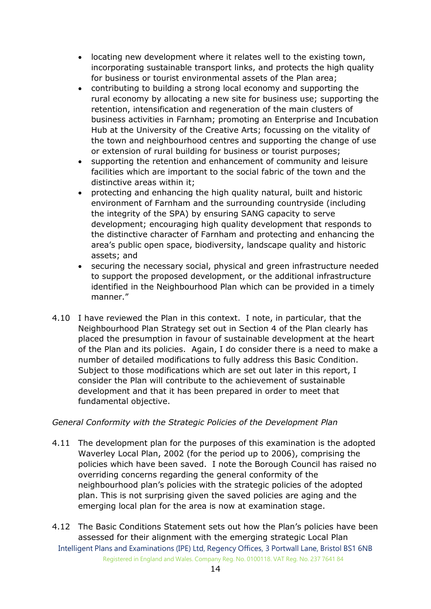- locating new development where it relates well to the existing town, incorporating sustainable transport links, and protects the high quality for business or tourist environmental assets of the Plan area;
- contributing to building a strong local economy and supporting the rural economy by allocating a new site for business use; supporting the retention, intensification and regeneration of the main clusters of business activities in Farnham; promoting an Enterprise and Incubation Hub at the University of the Creative Arts; focussing on the vitality of the town and neighbourhood centres and supporting the change of use or extension of rural building for business or tourist purposes;
- supporting the retention and enhancement of community and leisure facilities which are important to the social fabric of the town and the distinctive areas within it;
- protecting and enhancing the high quality natural, built and historic environment of Farnham and the surrounding countryside (including the integrity of the SPA) by ensuring SANG capacity to serve development; encouraging high quality development that responds to the distinctive character of Farnham and protecting and enhancing the area's public open space, biodiversity, landscape quality and historic assets; and
- securing the necessary social, physical and green infrastructure needed to support the proposed development, or the additional infrastructure identified in the Neighbourhood Plan which can be provided in a timely manner."
- 4.10 I have reviewed the Plan in this context. I note, in particular, that the Neighbourhood Plan Strategy set out in Section 4 of the Plan clearly has placed the presumption in favour of sustainable development at the heart of the Plan and its policies. Again, I do consider there is a need to make a number of detailed modifications to fully address this Basic Condition. Subject to those modifications which are set out later in this report, I consider the Plan will contribute to the achievement of sustainable development and that it has been prepared in order to meet that fundamental objective.

#### *General Conformity with the Strategic Policies of the Development Plan*

- 4.11 The development plan for the purposes of this examination is the adopted Waverley Local Plan, 2002 (for the period up to 2006), comprising the policies which have been saved. I note the Borough Council has raised no overriding concerns regarding the general conformity of the neighbourhood plan's policies with the strategic policies of the adopted plan. This is not surprising given the saved policies are aging and the emerging local plan for the area is now at examination stage.
- Intelligent Plans and Examinations (IPE) Ltd, Regency Offices, 3 Portwall Lane, Bristol BS1 6NB Registered in England and Wales. Company Reg. No. 0100118. VAT Reg. No. 237 7641 84 4.12 The Basic Conditions Statement sets out how the Plan's policies have been assessed for their alignment with the emerging strategic Local Plan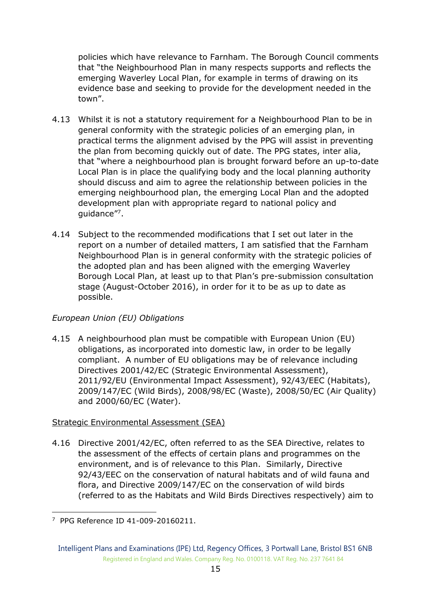policies which have relevance to Farnham. The Borough Council comments that "the Neighbourhood Plan in many respects supports and reflects the emerging Waverley Local Plan, for example in terms of drawing on its evidence base and seeking to provide for the development needed in the town".

- 4.13 Whilst it is not a statutory requirement for a Neighbourhood Plan to be in general conformity with the strategic policies of an emerging plan, in practical terms the alignment advised by the PPG will assist in preventing the plan from becoming quickly out of date. The PPG states, inter alia, that "where a neighbourhood plan is brought forward before an up-to-date Local Plan is in place the qualifying body and the local planning authority should discuss and aim to agree the relationship between policies in the emerging neighbourhood plan, the emerging Local Plan and the adopted development plan with appropriate regard to national policy and guidance"<sup>7</sup>.
- 4.14 Subject to the recommended modifications that I set out later in the report on a number of detailed matters, I am satisfied that the Farnham Neighbourhood Plan is in general conformity with the strategic policies of the adopted plan and has been aligned with the emerging Waverley Borough Local Plan, at least up to that Plan's pre-submission consultation stage (August-October 2016), in order for it to be as up to date as possible.

## *European Union (EU) Obligations*

4.15 A neighbourhood plan must be compatible with European Union (EU) obligations, as incorporated into domestic law, in order to be legally compliant. A number of EU obligations may be of relevance including Directives 2001/42/EC (Strategic Environmental Assessment), 2011/92/EU (Environmental Impact Assessment), 92/43/EEC (Habitats), 2009/147/EC (Wild Birds), 2008/98/EC (Waste), 2008/50/EC (Air Quality) and 2000/60/EC (Water).

#### Strategic Environmental Assessment (SEA)

4.16 Directive 2001/42/EC, often referred to as the SEA Directive, relates to the assessment of the effects of certain plans and programmes on the environment, and is of relevance to this Plan. Similarly, Directive 92/43/EEC on the conservation of natural habitats and of wild fauna and flora, and Directive 2009/147/EC on the conservation of wild birds (referred to as the Habitats and Wild Birds Directives respectively) aim to

<sup>-</sup>7 PPG Reference ID 41-009-20160211.

Intelligent Plans and Examinations (IPE) Ltd, Regency Offices, 3 Portwall Lane, Bristol BS1 6NB Registered in England and Wales. Company Reg. No. 0100118. VAT Reg. No. 237 7641 84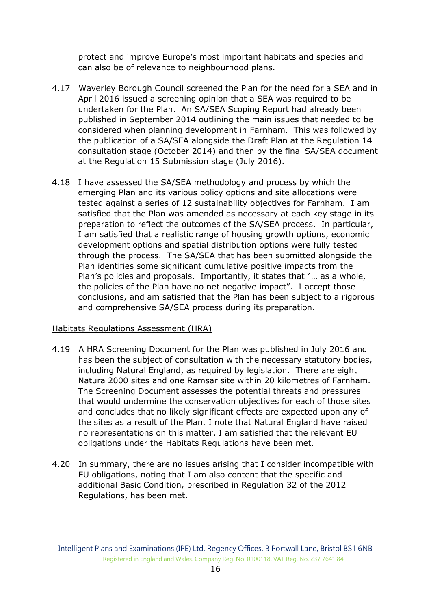protect and improve Europe's most important habitats and species and can also be of relevance to neighbourhood plans.

- 4.17 Waverley Borough Council screened the Plan for the need for a SEA and in April 2016 issued a screening opinion that a SEA was required to be undertaken for the Plan. An SA/SEA Scoping Report had already been published in September 2014 outlining the main issues that needed to be considered when planning development in Farnham. This was followed by the publication of a SA/SEA alongside the Draft Plan at the Regulation 14 consultation stage (October 2014) and then by the final SA/SEA document at the Regulation 15 Submission stage (July 2016).
- 4.18 I have assessed the SA/SEA methodology and process by which the emerging Plan and its various policy options and site allocations were tested against a series of 12 sustainability objectives for Farnham. I am satisfied that the Plan was amended as necessary at each key stage in its preparation to reflect the outcomes of the SA/SEA process. In particular, I am satisfied that a realistic range of housing growth options, economic development options and spatial distribution options were fully tested through the process. The SA/SEA that has been submitted alongside the Plan identifies some significant cumulative positive impacts from the Plan's policies and proposals. Importantly, it states that "… as a whole, the policies of the Plan have no net negative impact". I accept those conclusions, and am satisfied that the Plan has been subject to a rigorous and comprehensive SA/SEA process during its preparation.

#### Habitats Regulations Assessment (HRA)

- 4.19 A HRA Screening Document for the Plan was published in July 2016 and has been the subject of consultation with the necessary statutory bodies, including Natural England, as required by legislation. There are eight Natura 2000 sites and one Ramsar site within 20 kilometres of Farnham. The Screening Document assesses the potential threats and pressures that would undermine the conservation objectives for each of those sites and concludes that no likely significant effects are expected upon any of the sites as a result of the Plan. I note that Natural England have raised no representations on this matter. I am satisfied that the relevant EU obligations under the Habitats Regulations have been met.
- 4.20 In summary, there are no issues arising that I consider incompatible with EU obligations, noting that I am also content that the specific and additional Basic Condition, prescribed in Regulation 32 of the 2012 Regulations, has been met.

Intelligent Plans and Examinations (IPE) Ltd, Regency Offices, 3 Portwall Lane, Bristol BS1 6NB Registered in England and Wales. Company Reg. No. 0100118. VAT Reg. No. 237 7641 84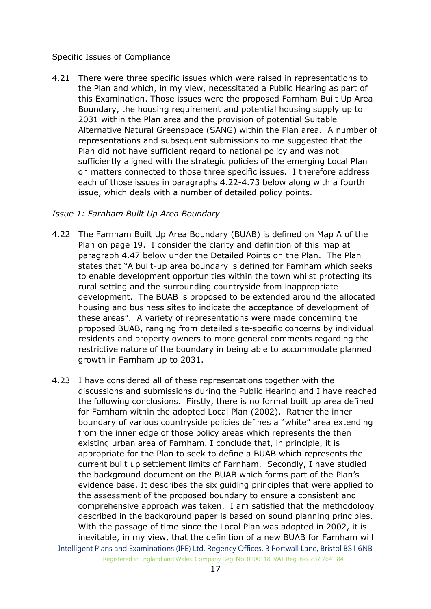#### Specific Issues of Compliance

4.21 There were three specific issues which were raised in representations to the Plan and which, in my view, necessitated a Public Hearing as part of this Examination. Those issues were the proposed Farnham Built Up Area Boundary, the housing requirement and potential housing supply up to 2031 within the Plan area and the provision of potential Suitable Alternative Natural Greenspace (SANG) within the Plan area. A number of representations and subsequent submissions to me suggested that the Plan did not have sufficient regard to national policy and was not sufficiently aligned with the strategic policies of the emerging Local Plan on matters connected to those three specific issues. I therefore address each of those issues in paragraphs 4.22-4.73 below along with a fourth issue, which deals with a number of detailed policy points.

#### *Issue 1: Farnham Built Up Area Boundary*

- 4.22 The Farnham Built Up Area Boundary (BUAB) is defined on Map A of the Plan on page 19. I consider the clarity and definition of this map at paragraph 4.47 below under the Detailed Points on the Plan. The Plan states that "A built-up area boundary is defined for Farnham which seeks to enable development opportunities within the town whilst protecting its rural setting and the surrounding countryside from inappropriate development. The BUAB is proposed to be extended around the allocated housing and business sites to indicate the acceptance of development of these areas". A variety of representations were made concerning the proposed BUAB, ranging from detailed site-specific concerns by individual residents and property owners to more general comments regarding the restrictive nature of the boundary in being able to accommodate planned growth in Farnham up to 2031.
- Intelligent Plans and Examinations (IPE) Ltd, Regency Offices, 3 Portwall Lane, Bristol BS1 6NB 4.23 I have considered all of these representations together with the discussions and submissions during the Public Hearing and I have reached the following conclusions. Firstly, there is no formal built up area defined for Farnham within the adopted Local Plan (2002). Rather the inner boundary of various countryside policies defines a "white" area extending from the inner edge of those policy areas which represents the then existing urban area of Farnham. I conclude that, in principle, it is appropriate for the Plan to seek to define a BUAB which represents the current built up settlement limits of Farnham. Secondly, I have studied the background document on the BUAB which forms part of the Plan's evidence base. It describes the six guiding principles that were applied to the assessment of the proposed boundary to ensure a consistent and comprehensive approach was taken. I am satisfied that the methodology described in the background paper is based on sound planning principles. With the passage of time since the Local Plan was adopted in 2002, it is inevitable, in my view, that the definition of a new BUAB for Farnham will

Registered in England and Wales. Company Reg. No. 0100118. VAT Reg. No. 237 7641 84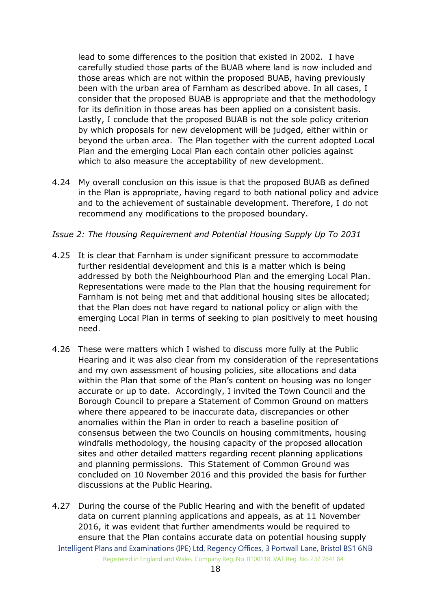lead to some differences to the position that existed in 2002. I have carefully studied those parts of the BUAB where land is now included and those areas which are not within the proposed BUAB, having previously been with the urban area of Farnham as described above. In all cases, I consider that the proposed BUAB is appropriate and that the methodology for its definition in those areas has been applied on a consistent basis. Lastly, I conclude that the proposed BUAB is not the sole policy criterion by which proposals for new development will be judged, either within or beyond the urban area. The Plan together with the current adopted Local Plan and the emerging Local Plan each contain other policies against which to also measure the acceptability of new development.

4.24 My overall conclusion on this issue is that the proposed BUAB as defined in the Plan is appropriate, having regard to both national policy and advice and to the achievement of sustainable development. Therefore, I do not recommend any modifications to the proposed boundary.

#### *Issue 2: The Housing Requirement and Potential Housing Supply Up To 2031*

- 4.25 It is clear that Farnham is under significant pressure to accommodate further residential development and this is a matter which is being addressed by both the Neighbourhood Plan and the emerging Local Plan. Representations were made to the Plan that the housing requirement for Farnham is not being met and that additional housing sites be allocated; that the Plan does not have regard to national policy or align with the emerging Local Plan in terms of seeking to plan positively to meet housing need.
- 4.26 These were matters which I wished to discuss more fully at the Public Hearing and it was also clear from my consideration of the representations and my own assessment of housing policies, site allocations and data within the Plan that some of the Plan's content on housing was no longer accurate or up to date. Accordingly, I invited the Town Council and the Borough Council to prepare a Statement of Common Ground on matters where there appeared to be inaccurate data, discrepancies or other anomalies within the Plan in order to reach a baseline position of consensus between the two Councils on housing commitments, housing windfalls methodology, the housing capacity of the proposed allocation sites and other detailed matters regarding recent planning applications and planning permissions. This Statement of Common Ground was concluded on 10 November 2016 and this provided the basis for further discussions at the Public Hearing.
- Intelligent Plans and Examinations (IPE) Ltd, Regency Offices, 3 Portwall Lane, Bristol BS1 6NB Registered in England and Wales. Company Reg. No. 0100118. VAT Reg. No. 237 7641 84 4.27 During the course of the Public Hearing and with the benefit of updated data on current planning applications and appeals, as at 11 November 2016, it was evident that further amendments would be required to ensure that the Plan contains accurate data on potential housing supply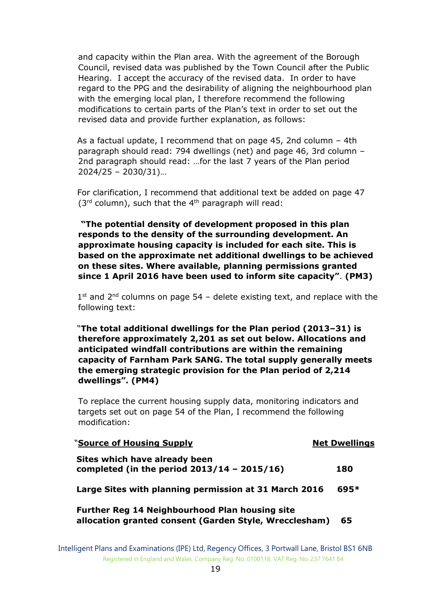and capacity within the Plan area. With the agreement of the Borough Council, revised data was published by the Town Council after the Public Hearing. I accept the accuracy of the revised data. In order to have regard to the PPG and the desirability of aligning the neighbourhood plan with the emerging local plan, I therefore recommend the following modifications to certain parts of the Plan's text in order to set out the revised data and provide further explanation, as follows:

 As a factual update, I recommend that on page 45, 2nd column – 4th paragraph should read: 794 dwellings (net) and page 46, 3rd column – 2nd paragraph should read: …for the last 7 years of the Plan period 2024/25 – 2030/31)…

 For clarification, I recommend that additional text be added on page 47  $(3<sup>rd</sup>$  column), such that the 4<sup>th</sup> paragraph will read:

**"The potential density of development proposed in this plan responds to the density of the surrounding development. An approximate housing capacity is included for each site. This is based on the approximate net additional dwellings to be achieved on these sites. Where available, planning permissions granted since 1 April 2016 have been used to inform site capacity"**. **(PM3)**

 $1<sup>st</sup>$  and  $2<sup>nd</sup>$  columns on page 54 – delete existing text, and replace with the following text:

 "**The total additional dwellings for the Plan period (2013–31) is therefore approximately 2,201 as set out below. Allocations and anticipated windfall contributions are within the remaining capacity of Farnham Park SANG. The total supply generally meets the emerging strategic provision for the Plan period of 2,214 dwellings". (PM4)**

To replace the current housing supply data, monitoring indicators and targets set out on page 54 of the Plan, I recommend the following modification:

| "Source of Housing Supply                                                                                       | <b>Net Dwellings</b> |
|-----------------------------------------------------------------------------------------------------------------|----------------------|
| Sites which have already been<br>completed (in the period $2013/14 - 2015/16$ )                                 | 180                  |
| Large Sites with planning permission at 31 March 2016                                                           | 695*                 |
| <b>Further Reg 14 Neighbourhood Plan housing site</b><br>allocation granted consent (Garden Style, Wrecclesham) | 65                   |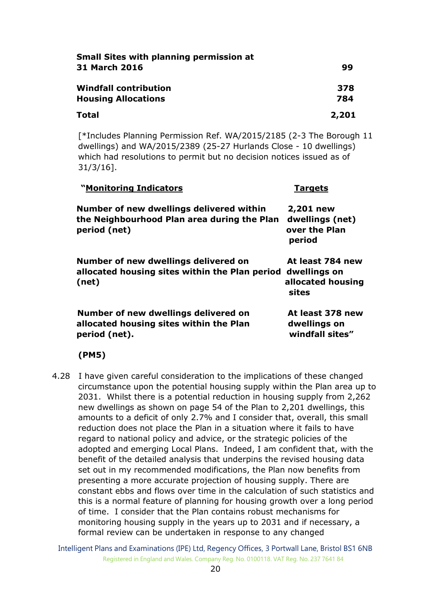| <b>Small Sites with planning permission at</b> |       |
|------------------------------------------------|-------|
| <b>31 March 2016</b>                           | 99    |
| <b>Windfall contribution</b>                   | 378   |
| <b>Housing Allocations</b>                     | 784   |
| Total                                          | 2,201 |

[\*Includes Planning Permission Ref. WA/2015/2185 (2-3 The Borough 11 dwellings) and WA/2015/2389 (25-27 Hurlands Close - 10 dwellings) which had resolutions to permit but no decision notices issued as of 31/3/16].

| "Monitoring Indicators                                                                                  | <b>Targets</b>                                                 |
|---------------------------------------------------------------------------------------------------------|----------------------------------------------------------------|
| Number of new dwellings delivered within<br>the Neighbourhood Plan area during the Plan<br>period (net) | 2,201 new<br>dwellings (net)<br>over the Plan<br>period        |
| Number of new dwellings delivered on<br>allocated housing sites within the Plan period<br>(net)         | At least 784 new<br>dwellings on<br>allocated housing<br>sites |
| Number of new dwellings delivered on<br>allocated housing sites within the Plan<br>period (net).        | At least 378 new<br>dwellings on<br>windfall sites"            |

#### **(PM5)**

4.28 I have given careful consideration to the implications of these changed circumstance upon the potential housing supply within the Plan area up to 2031. Whilst there is a potential reduction in housing supply from 2,262 new dwellings as shown on page 54 of the Plan to 2,201 dwellings, this amounts to a deficit of only 2.7% and I consider that, overall, this small reduction does not place the Plan in a situation where it fails to have regard to national policy and advice, or the strategic policies of the adopted and emerging Local Plans. Indeed, I am confident that, with the benefit of the detailed analysis that underpins the revised housing data set out in my recommended modifications, the Plan now benefits from presenting a more accurate projection of housing supply. There are constant ebbs and flows over time in the calculation of such statistics and this is a normal feature of planning for housing growth over a long period of time. I consider that the Plan contains robust mechanisms for monitoring housing supply in the years up to 2031 and if necessary, a formal review can be undertaken in response to any changed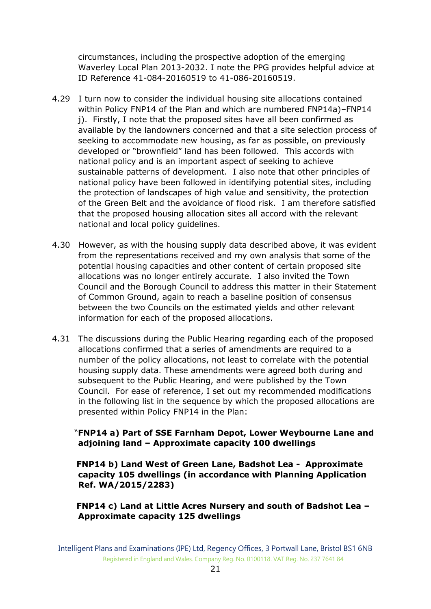circumstances, including the prospective adoption of the emerging Waverley Local Plan 2013-2032. I note the PPG provides helpful advice at ID Reference 41-084-20160519 to 41-086-20160519.

- 4.29 I turn now to consider the individual housing site allocations contained within Policy FNP14 of the Plan and which are numbered FNP14a)–FNP14 j). Firstly, I note that the proposed sites have all been confirmed as available by the landowners concerned and that a site selection process of seeking to accommodate new housing, as far as possible, on previously developed or "brownfield" land has been followed. This accords with national policy and is an important aspect of seeking to achieve sustainable patterns of development. I also note that other principles of national policy have been followed in identifying potential sites, including the protection of landscapes of high value and sensitivity, the protection of the Green Belt and the avoidance of flood risk. I am therefore satisfied that the proposed housing allocation sites all accord with the relevant national and local policy guidelines.
- 4.30 However, as with the housing supply data described above, it was evident from the representations received and my own analysis that some of the potential housing capacities and other content of certain proposed site allocations was no longer entirely accurate. I also invited the Town Council and the Borough Council to address this matter in their Statement of Common Ground, again to reach a baseline position of consensus between the two Councils on the estimated yields and other relevant information for each of the proposed allocations.
- 4.31 The discussions during the Public Hearing regarding each of the proposed allocations confirmed that a series of amendments are required to a number of the policy allocations, not least to correlate with the potential housing supply data. These amendments were agreed both during and subsequent to the Public Hearing, and were published by the Town Council. For ease of reference, I set out my recommended modifications in the following list in the sequence by which the proposed allocations are presented within Policy FNP14 in the Plan:

## "**FNP14 a) Part of SSE Farnham Depot, Lower Weybourne Lane and adjoining land – Approximate capacity 100 dwellings**

 **FNP14 b) Land West of Green Lane, Badshot Lea - Approximate capacity 105 dwellings (in accordance with Planning Application Ref. WA/2015/2283)** 

## **FNP14 c) Land at Little Acres Nursery and south of Badshot Lea – Approximate capacity 125 dwellings**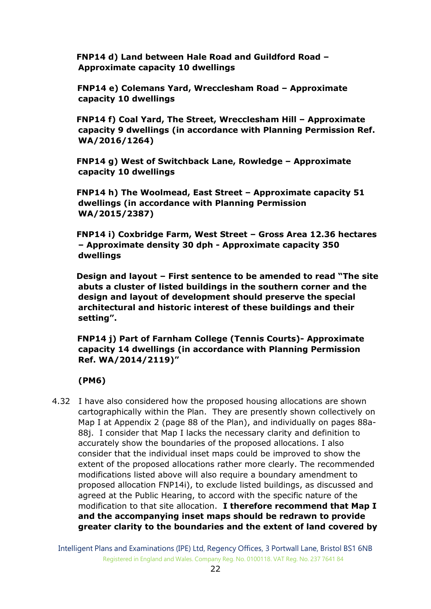**FNP14 d) Land between Hale Road and Guildford Road – Approximate capacity 10 dwellings**

 **FNP14 e) Colemans Yard, Wrecclesham Road – Approximate capacity 10 dwellings** 

 **FNP14 f) Coal Yard, The Street, Wrecclesham Hill – Approximate capacity 9 dwellings (in accordance with Planning Permission Ref. WA/2016/1264)**

 **FNP14 g) West of Switchback Lane, Rowledge – Approximate capacity 10 dwellings**

 **FNP14 h) The Woolmead, East Street – Approximate capacity 51 dwellings (in accordance with Planning Permission WA/2015/2387)** 

 **FNP14 i) Coxbridge Farm, West Street – Gross Area 12.36 hectares – Approximate density 30 dph - Approximate capacity 350 dwellings**

 **Design and layout – First sentence to be amended to read "The site abuts a cluster of listed buildings in the southern corner and the design and layout of development should preserve the special architectural and historic interest of these buildings and their setting".**

 **FNP14 j) Part of Farnham College (Tennis Courts)- Approximate capacity 14 dwellings (in accordance with Planning Permission Ref. WA/2014/2119)"** 

**(PM6)**

4.32 I have also considered how the proposed housing allocations are shown cartographically within the Plan. They are presently shown collectively on Map I at Appendix 2 (page 88 of the Plan), and individually on pages 88a-88j. I consider that Map I lacks the necessary clarity and definition to accurately show the boundaries of the proposed allocations. I also consider that the individual inset maps could be improved to show the extent of the proposed allocations rather more clearly. The recommended modifications listed above will also require a boundary amendment to proposed allocation FNP14i), to exclude listed buildings, as discussed and agreed at the Public Hearing, to accord with the specific nature of the modification to that site allocation. **I therefore recommend that Map I and the accompanying inset maps should be redrawn to provide greater clarity to the boundaries and the extent of land covered by**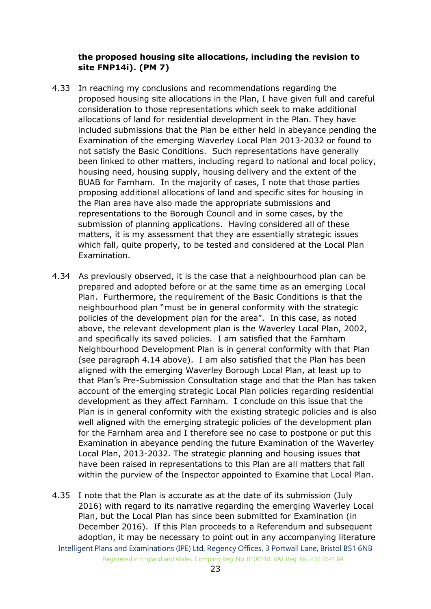#### **the proposed housing site allocations, including the revision to site FNP14i). (PM 7)**

- 4.33 In reaching my conclusions and recommendations regarding the proposed housing site allocations in the Plan, I have given full and careful consideration to those representations which seek to make additional allocations of land for residential development in the Plan. They have included submissions that the Plan be either held in abeyance pending the Examination of the emerging Waverley Local Plan 2013-2032 or found to not satisfy the Basic Conditions. Such representations have generally been linked to other matters, including regard to national and local policy, housing need, housing supply, housing delivery and the extent of the BUAB for Farnham. In the majority of cases, I note that those parties proposing additional allocations of land and specific sites for housing in the Plan area have also made the appropriate submissions and representations to the Borough Council and in some cases, by the submission of planning applications. Having considered all of these matters, it is my assessment that they are essentially strategic issues which fall, quite properly, to be tested and considered at the Local Plan Examination.
- 4.34 As previously observed, it is the case that a neighbourhood plan can be prepared and adopted before or at the same time as an emerging Local Plan. Furthermore, the requirement of the Basic Conditions is that the neighbourhood plan "must be in general conformity with the strategic policies of the development plan for the area". In this case, as noted above, the relevant development plan is the Waverley Local Plan, 2002, and specifically its saved policies. I am satisfied that the Farnham Neighbourhood Development Plan is in general conformity with that Plan (see paragraph 4.14 above). I am also satisfied that the Plan has been aligned with the emerging Waverley Borough Local Plan, at least up to that Plan's Pre-Submission Consultation stage and that the Plan has taken account of the emerging strategic Local Plan policies regarding residential development as they affect Farnham. I conclude on this issue that the Plan is in general conformity with the existing strategic policies and is also well aligned with the emerging strategic policies of the development plan for the Farnham area and I therefore see no case to postpone or put this Examination in abeyance pending the future Examination of the Waverley Local Plan, 2013-2032. The strategic planning and housing issues that have been raised in representations to this Plan are all matters that fall within the purview of the Inspector appointed to Examine that Local Plan.
- Intelligent Plans and Examinations (IPE) Ltd, Regency Offices, 3 Portwall Lane, Bristol BS1 6NB Registered in England and Wales. Company Reg. No. 0100118. VAT Reg. No. 237 7641 84 4.35 I note that the Plan is accurate as at the date of its submission (July 2016) with regard to its narrative regarding the emerging Waverley Local Plan, but the Local Plan has since been submitted for Examination (in December 2016). If this Plan proceeds to a Referendum and subsequent adoption, it may be necessary to point out in any accompanying literature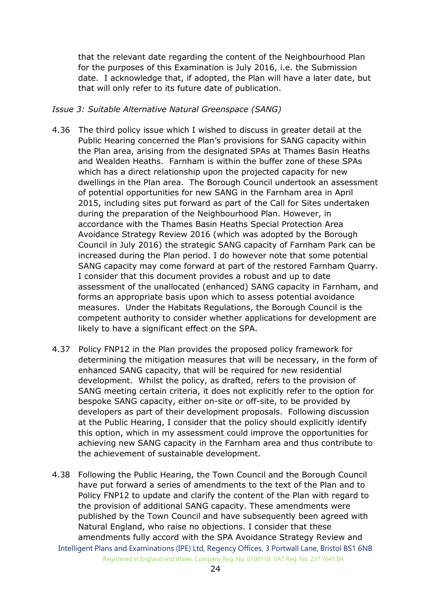that the relevant date regarding the content of the Neighbourhood Plan for the purposes of this Examination is July 2016, i.e. the Submission date. I acknowledge that, if adopted, the Plan will have a later date, but that will only refer to its future date of publication.

#### *Issue 3: Suitable Alternative Natural Greenspace (SANG)*

- 4.36 The third policy issue which I wished to discuss in greater detail at the Public Hearing concerned the Plan's provisions for SANG capacity within the Plan area, arising from the designated SPAs at Thames Basin Heaths and Wealden Heaths. Farnham is within the buffer zone of these SPAs which has a direct relationship upon the projected capacity for new dwellings in the Plan area. The Borough Council undertook an assessment of potential opportunities for new SANG in the Farnham area in April 2015, including sites put forward as part of the Call for Sites undertaken during the preparation of the Neighbourhood Plan. However, in accordance with the Thames Basin Heaths Special Protection Area Avoidance Strategy Review 2016 (which was adopted by the Borough Council in July 2016) the strategic SANG capacity of Farnham Park can be increased during the Plan period. I do however note that some potential SANG capacity may come forward at part of the restored Farnham Quarry. I consider that this document provides a robust and up to date assessment of the unallocated (enhanced) SANG capacity in Farnham, and forms an appropriate basis upon which to assess potential avoidance measures. Under the Habitats Regulations, the Borough Council is the competent authority to consider whether applications for development are likely to have a significant effect on the SPA.
- 4.37 Policy FNP12 in the Plan provides the proposed policy framework for determining the mitigation measures that will be necessary, in the form of enhanced SANG capacity, that will be required for new residential development. Whilst the policy, as drafted, refers to the provision of SANG meeting certain criteria, it does not explicitly refer to the option for bespoke SANG capacity, either on-site or off-site, to be provided by developers as part of their development proposals. Following discussion at the Public Hearing, I consider that the policy should explicitly identify this option, which in my assessment could improve the opportunities for achieving new SANG capacity in the Farnham area and thus contribute to the achievement of sustainable development.
- Intelligent Plans and Examinations (IPE) Ltd, Regency Offices, 3 Portwall Lane, Bristol BS1 6NB 4.38 Following the Public Hearing, the Town Council and the Borough Council have put forward a series of amendments to the text of the Plan and to Policy FNP12 to update and clarify the content of the Plan with regard to the provision of additional SANG capacity. These amendments were published by the Town Council and have subsequently been agreed with Natural England, who raise no objections. I consider that these amendments fully accord with the SPA Avoidance Strategy Review and

Registered in England and Wales. Company Reg. No. 0100118. VAT Reg. No. 237 7641 84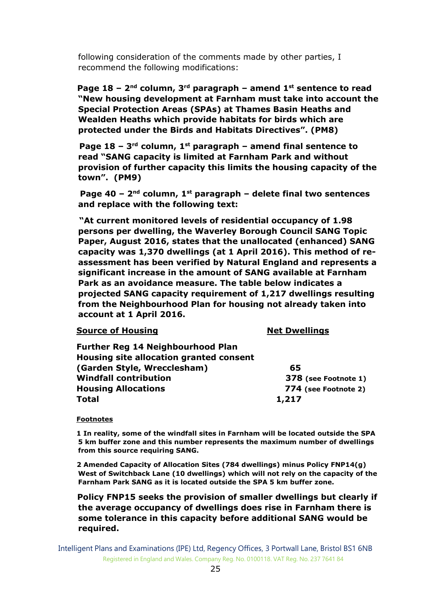following consideration of the comments made by other parties, I recommend the following modifications:

**Page 18 – 2<sup>nd</sup> column, 3<sup>rd</sup> paragraph – amend 1<sup>st</sup> sentence to read "New housing development at Farnham must take into account the Special Protection Areas (SPAs) at Thames Basin Heaths and Wealden Heaths which provide habitats for birds which are protected under the Birds and Habitats Directives". (PM8)**

 **Page 18 – 3 rd column, 1st paragraph – amend final sentence to read "SANG capacity is limited at Farnham Park and without provision of further capacity this limits the housing capacity of the town". (PM9)**

 **Page 40 – 2 nd column, 1st paragraph – delete final two sentences and replace with the following text:**

 **"At current monitored levels of residential occupancy of 1.98 persons per dwelling, the Waverley Borough Council SANG Topic Paper, August 2016, states that the unallocated (enhanced) SANG capacity was 1,370 dwellings (at 1 April 2016). This method of reassessment has been verified by Natural England and represents a significant increase in the amount of SANG available at Farnham Park as an avoidance measure. The table below indicates a projected SANG capacity requirement of 1,217 dwellings resulting from the Neighbourhood Plan for housing not already taken into account at 1 April 2016.** 

#### **Source of Housing Net Dwellings**

| Housing site allocation granted consent |
|-----------------------------------------|
| 65                                      |
| 378 (see Footnote 1)                    |
| 774 (see Footnote 2)                    |
| 1,217                                   |
|                                         |

#### **Footnotes**

 **1 In reality, some of the windfall sites in Farnham will be located outside the SPA 5 km buffer zone and this number represents the maximum number of dwellings from this source requiring SANG.** 

 **2 Amended Capacity of Allocation Sites (784 dwellings) minus Policy FNP14(g) West of Switchback Lane (10 dwellings) which will not rely on the capacity of the Farnham Park SANG as it is located outside the SPA 5 km buffer zone.**

 **Policy FNP15 seeks the provision of smaller dwellings but clearly if the average occupancy of dwellings does rise in Farnham there is some tolerance in this capacity before additional SANG would be required.**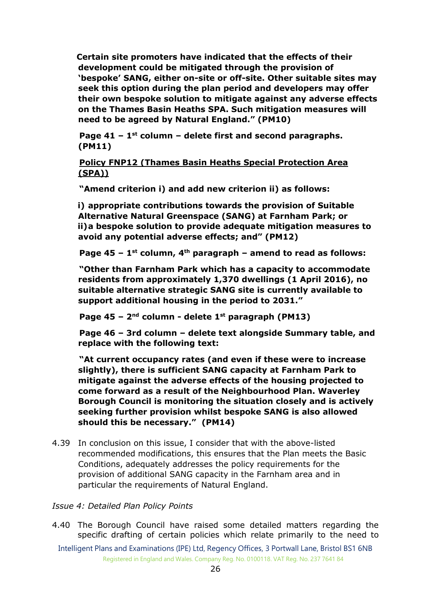**Certain site promoters have indicated that the effects of their development could be mitigated through the provision of 'bespoke' SANG, either on-site or off-site. Other suitable sites may seek this option during the plan period and developers may offer their own bespoke solution to mitigate against any adverse effects on the Thames Basin Heaths SPA. Such mitigation measures will need to be agreed by Natural England." (PM10)**

 **Page 41 – 1 st column – delete first and second paragraphs. (PM11)**

 **Policy FNP12 (Thames Basin Heaths Special Protection Area (SPA))**

 **"Amend criterion i) and add new criterion ii) as follows:**

**i) appropriate contributions towards the provision of Suitable Alternative Natural Greenspace (SANG) at Farnham Park; or ii)a bespoke solution to provide adequate mitigation measures to avoid any potential adverse effects; and" (PM12)**

 **Page 45 – 1 st column, 4th paragraph – amend to read as follows:**

 **"Other than Farnham Park which has a capacity to accommodate residents from approximately 1,370 dwellings (1 April 2016), no suitable alternative strategic SANG site is currently available to support additional housing in the period to 2031."**

 **Page 45 – 2 nd column - delete 1st paragraph (PM13)**

 **Page 46 – 3rd column – delete text alongside Summary table, and replace with the following text:**

 **"At current occupancy rates (and even if these were to increase slightly), there is sufficient SANG capacity at Farnham Park to mitigate against the adverse effects of the housing projected to come forward as a result of the Neighbourhood Plan. Waverley Borough Council is monitoring the situation closely and is actively seeking further provision whilst bespoke SANG is also allowed should this be necessary." (PM14)**

4.39 In conclusion on this issue, I consider that with the above-listed recommended modifications, this ensures that the Plan meets the Basic Conditions, adequately addresses the policy requirements for the provision of additional SANG capacity in the Farnham area and in particular the requirements of Natural England.

#### *Issue 4: Detailed Plan Policy Points*

- 4.40 The Borough Council have raised some detailed matters regarding the specific drafting of certain policies which relate primarily to the need to
	- Intelligent Plans and Examinations (IPE) Ltd, Regency Offices, 3 Portwall Lane, Bristol BS1 6NB Registered in England and Wales. Company Reg. No. 0100118. VAT Reg. No. 237 7641 84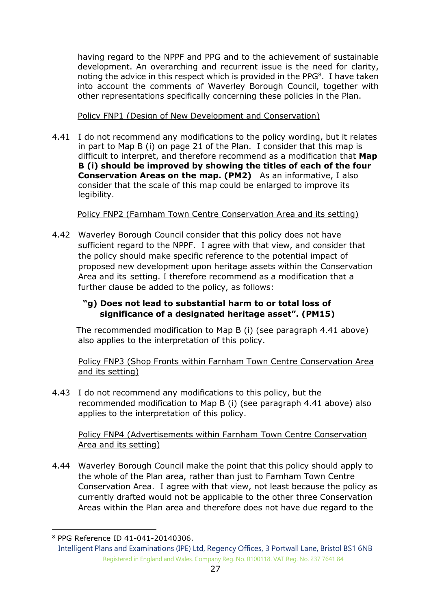having regard to the NPPF and PPG and to the achievement of sustainable development. An overarching and recurrent issue is the need for clarity, noting the advice in this respect which is provided in the PP $G^8$ . I have taken into account the comments of Waverley Borough Council, together with other representations specifically concerning these policies in the Plan.

## Policy FNP1 (Design of New Development and Conservation)

4.41 I do not recommend any modifications to the policy wording, but it relates in part to Map B (i) on page 21 of the Plan. I consider that this map is difficult to interpret, and therefore recommend as a modification that **Map B (i) should be improved by showing the titles of each of the four Conservation Areas on the map. (PM2)** As an informative, I also consider that the scale of this map could be enlarged to improve its legibility.

## Policy FNP2 (Farnham Town Centre Conservation Area and its setting)

4.42 Waverley Borough Council consider that this policy does not have sufficient regard to the NPPF. I agree with that view, and consider that the policy should make specific reference to the potential impact of proposed new development upon heritage assets within the Conservation Area and its setting. I therefore recommend as a modification that a further clause be added to the policy, as follows:

## **"g) Does not lead to substantial harm to or total loss of significance of a designated heritage asset". (PM15)**

The recommended modification to Map B (i) (see paragraph 4.41 above) also applies to the interpretation of this policy.

Policy FNP3 (Shop Fronts within Farnham Town Centre Conservation Area and its setting)

4.43 I do not recommend any modifications to this policy, but the recommended modification to Map B (i) (see paragraph 4.41 above) also applies to the interpretation of this policy.

## Policy FNP4 (Advertisements within Farnham Town Centre Conservation Area and its setting)

4.44 Waverley Borough Council make the point that this policy should apply to the whole of the Plan area, rather than just to Farnham Town Centre Conservation Area. I agree with that view, not least because the policy as currently drafted would not be applicable to the other three Conservation Areas within the Plan area and therefore does not have due regard to the

-

<sup>8</sup> PPG Reference ID 41-041-20140306.

Intelligent Plans and Examinations (IPE) Ltd, Regency Offices, 3 Portwall Lane, Bristol BS1 6NB Registered in England and Wales. Company Reg. No. 0100118. VAT Reg. No. 237 7641 84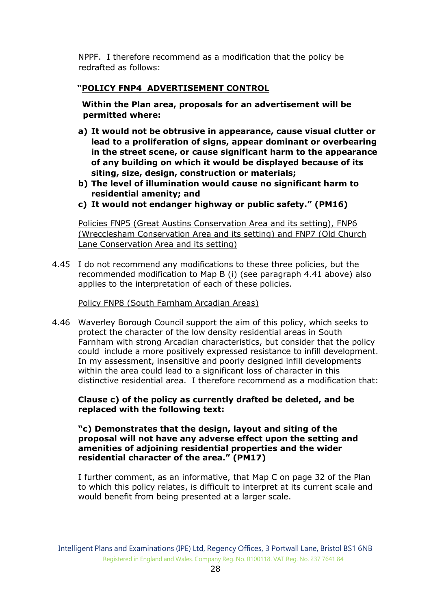NPPF. I therefore recommend as a modification that the policy be redrafted as follows:

## **"POLICY FNP4 ADVERTISEMENT CONTROL**

 **Within the Plan area, proposals for an advertisement will be permitted where:**

- **a) It would not be obtrusive in appearance, cause visual clutter or lead to a proliferation of signs, appear dominant or overbearing in the street scene, or cause significant harm to the appearance of any building on which it would be displayed because of its siting, size, design, construction or materials;**
- **b) The level of illumination would cause no significant harm to residential amenity; and**
- **c) It would not endanger highway or public safety." (PM16)**

Policies FNP5 (Great Austins Conservation Area and its setting), FNP6 (Wrecclesham Conservation Area and its setting) and FNP7 (Old Church Lane Conservation Area and its setting)

4.45 I do not recommend any modifications to these three policies, but the recommended modification to Map B (i) (see paragraph 4.41 above) also applies to the interpretation of each of these policies.

#### Policy FNP8 (South Farnham Arcadian Areas)

4.46 Waverley Borough Council support the aim of this policy, which seeks to protect the character of the low density residential areas in South Farnham with strong Arcadian characteristics, but consider that the policy could include a more positively expressed resistance to infill development. In my assessment, insensitive and poorly designed infill developments within the area could lead to a significant loss of character in this distinctive residential area. I therefore recommend as a modification that:

**Clause c) of the policy as currently drafted be deleted, and be replaced with the following text:**

**"c) Demonstrates that the design, layout and siting of the proposal will not have any adverse effect upon the setting and amenities of adjoining residential properties and the wider residential character of the area." (PM17)**

I further comment, as an informative, that Map C on page 32 of the Plan to which this policy relates, is difficult to interpret at its current scale and would benefit from being presented at a larger scale.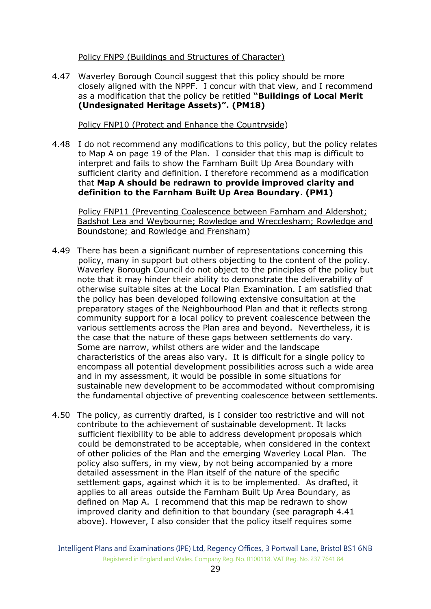Policy FNP9 (Buildings and Structures of Character)

4.47 Waverley Borough Council suggest that this policy should be more closely aligned with the NPPF. I concur with that view, and I recommend as a modification that the policy be retitled **"Buildings of Local Merit (Undesignated Heritage Assets)". (PM18)**

Policy FNP10 (Protect and Enhance the Countryside)

4.48 I do not recommend any modifications to this policy, but the policy relates to Map A on page 19 of the Plan. I consider that this map is difficult to interpret and fails to show the Farnham Built Up Area Boundary with sufficient clarity and definition. I therefore recommend as a modification that **Map A should be redrawn to provide improved clarity and definition to the Farnham Built Up Area Boundary**. **(PM1)**

Policy FNP11 (Preventing Coalescence between Farnham and Aldershot; Badshot Lea and Weybourne; Rowledge and Wrecclesham; Rowledge and Boundstone; and Rowledge and Frensham)

- 4.49 There has been a significant number of representations concerning this policy, many in support but others objecting to the content of the policy. Waverley Borough Council do not object to the principles of the policy but note that it may hinder their ability to demonstrate the deliverability of otherwise suitable sites at the Local Plan Examination. I am satisfied that the policy has been developed following extensive consultation at the preparatory stages of the Neighbourhood Plan and that it reflects strong community support for a local policy to prevent coalescence between the various settlements across the Plan area and beyond. Nevertheless, it is the case that the nature of these gaps between settlements do vary. Some are narrow, whilst others are wider and the landscape characteristics of the areas also vary. It is difficult for a single policy to encompass all potential development possibilities across such a wide area and in my assessment, it would be possible in some situations for sustainable new development to be accommodated without compromising the fundamental objective of preventing coalescence between settlements.
- 4.50 The policy, as currently drafted, is I consider too restrictive and will not contribute to the achievement of sustainable development. It lacks sufficient flexibility to be able to address development proposals which could be demonstrated to be acceptable, when considered in the context of other policies of the Plan and the emerging Waverley Local Plan. The policy also suffers, in my view, by not being accompanied by a more detailed assessment in the Plan itself of the nature of the specific settlement gaps, against which it is to be implemented. As drafted, it applies to all areas outside the Farnham Built Up Area Boundary, as defined on Map A. I recommend that this map be redrawn to show improved clarity and definition to that boundary (see paragraph 4.41 above). However, I also consider that the policy itself requires some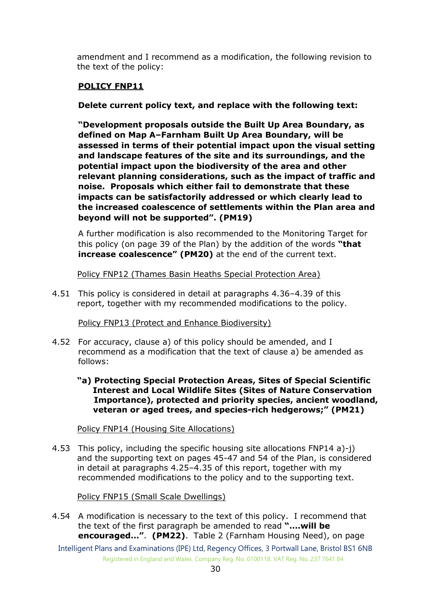amendment and I recommend as a modification, the following revision to the text of the policy:

## **POLICY FNP11**

**Delete current policy text, and replace with the following text:**

**"Development proposals outside the Built Up Area Boundary, as defined on Map A–Farnham Built Up Area Boundary, will be assessed in terms of their potential impact upon the visual setting and landscape features of the site and its surroundings, and the potential impact upon the biodiversity of the area and other relevant planning considerations, such as the impact of traffic and noise. Proposals which either fail to demonstrate that these impacts can be satisfactorily addressed or which clearly lead to the increased coalescence of settlements within the Plan area and beyond will not be supported". (PM19)**

A further modification is also recommended to the Monitoring Target for this policy (on page 39 of the Plan) by the addition of the words **"that increase coalescence" (PM20)** at the end of the current text.

Policy FNP12 (Thames Basin Heaths Special Protection Area)

4.51 This policy is considered in detail at paragraphs 4.36–4.39 of this report, together with my recommended modifications to the policy.

Policy FNP13 (Protect and Enhance Biodiversity)

- 4.52 For accuracy, clause a) of this policy should be amended, and I recommend as a modification that the text of clause a) be amended as follows:
	- **"a) Protecting Special Protection Areas, Sites of Special Scientific Interest and Local Wildlife Sites (Sites of Nature Conservation Importance), protected and priority species, ancient woodland, veteran or aged trees, and species-rich hedgerows;" (PM21)**

Policy FNP14 (Housing Site Allocations)

4.53 This policy, including the specific housing site allocations FNP14 a)-j) and the supporting text on pages 45-47 and 54 of the Plan, is considered in detail at paragraphs 4.25–4.35 of this report, together with my recommended modifications to the policy and to the supporting text.

Policy FNP15 (Small Scale Dwellings)

4.54 A modification is necessary to the text of this policy. I recommend that the text of the first paragraph be amended to read **"….will be encouraged…"**. **(PM22)**. Table 2 (Farnham Housing Need), on page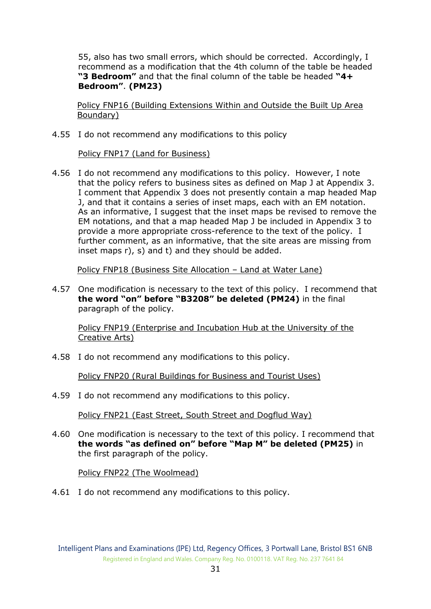55, also has two small errors, which should be corrected. Accordingly, I recommend as a modification that the 4th column of the table be headed **"3 Bedroom"** and that the final column of the table be headed **"4+ Bedroom"**. **(PM23)**

 Policy FNP16 (Building Extensions Within and Outside the Built Up Area Boundary)

4.55 I do not recommend any modifications to this policy

#### Policy FNP17 (Land for Business)

4.56 I do not recommend any modifications to this policy. However, I note that the policy refers to business sites as defined on Map J at Appendix 3. I comment that Appendix 3 does not presently contain a map headed Map J, and that it contains a series of inset maps, each with an EM notation. As an informative, I suggest that the inset maps be revised to remove the EM notations, and that a map headed Map J be included in Appendix 3 to provide a more appropriate cross-reference to the text of the policy. I further comment, as an informative, that the site areas are missing from inset maps r), s) and t) and they should be added.

Policy FNP18 (Business Site Allocation – Land at Water Lane)

4.57 One modification is necessary to the text of this policy. I recommend that **the word "on" before "B3208" be deleted (PM24)** in the final paragraph of the policy.

Policy FNP19 (Enterprise and Incubation Hub at the University of the Creative Arts)

4.58 I do not recommend any modifications to this policy.

Policy FNP20 (Rural Buildings for Business and Tourist Uses)

4.59 I do not recommend any modifications to this policy.

Policy FNP21 (East Street, South Street and Dogflud Way)

4.60 One modification is necessary to the text of this policy. I recommend that **the words "as defined on" before "Map M" be deleted (PM25)** in the first paragraph of the policy.

Policy FNP22 (The Woolmead)

4.61 I do not recommend any modifications to this policy.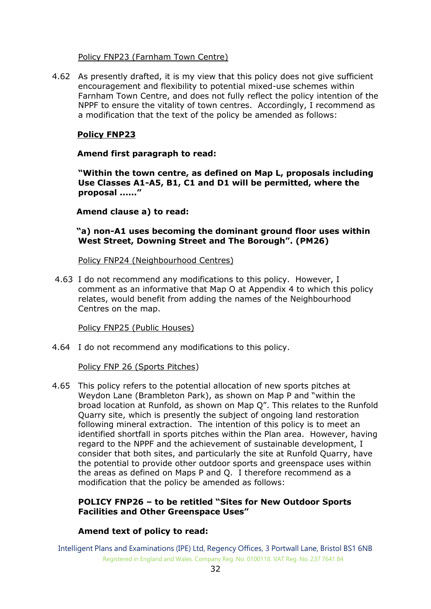#### Policy FNP23 (Farnham Town Centre)

4.62 As presently drafted, it is my view that this policy does not give sufficient encouragement and flexibility to potential mixed-use schemes within Farnham Town Centre, and does not fully reflect the policy intention of the NPPF to ensure the vitality of town centres. Accordingly, I recommend as a modification that the text of the policy be amended as follows:

## **Policy FNP23**

#### **Amend first paragraph to read:**

**"Within the town centre, as defined on Map L, proposals including Use Classes A1-A5, B1, C1 and D1 will be permitted, where the proposal ......"**

 **Amend clause a) to read:**

 **"a) non-A1 uses becoming the dominant ground floor uses within West Street, Downing Street and The Borough". (PM26)**

Policy FNP24 (Neighbourhood Centres)

4.63 I do not recommend any modifications to this policy. However, I comment as an informative that Map O at Appendix 4 to which this policy relates, would benefit from adding the names of the Neighbourhood Centres on the map.

Policy FNP25 (Public Houses)

4.64 I do not recommend any modifications to this policy.

#### Policy FNP 26 (Sports Pitches)

4.65 This policy refers to the potential allocation of new sports pitches at Weydon Lane (Brambleton Park), as shown on Map P and "within the broad location at Runfold, as shown on Map Q". This relates to the Runfold Quarry site, which is presently the subject of ongoing land restoration following mineral extraction. The intention of this policy is to meet an identified shortfall in sports pitches within the Plan area. However, having regard to the NPPF and the achievement of sustainable development, I consider that both sites, and particularly the site at Runfold Quarry, have the potential to provide other outdoor sports and greenspace uses within the areas as defined on Maps P and Q. I therefore recommend as a modification that the policy be amended as follows:

#### **POLICY FNP26 – to be retitled "Sites for New Outdoor Sports Facilities and Other Greenspace Uses"**

#### **Amend text of policy to read:**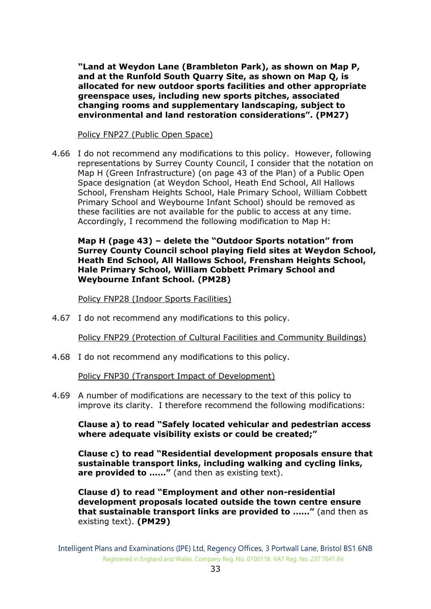**"Land at Weydon Lane (Brambleton Park), as shown on Map P, and at the Runfold South Quarry Site, as shown on Map Q, is allocated for new outdoor sports facilities and other appropriate greenspace uses, including new sports pitches, associated changing rooms and supplementary landscaping, subject to environmental and land restoration considerations". (PM27)**

Policy FNP27 (Public Open Space)

4.66 I do not recommend any modifications to this policy. However, following representations by Surrey County Council, I consider that the notation on Map H (Green Infrastructure) (on page 43 of the Plan) of a Public Open Space designation (at Weydon School, Heath End School, All Hallows School, Frensham Heights School, Hale Primary School, William Cobbett Primary School and Weybourne Infant School) should be removed as these facilities are not available for the public to access at any time. Accordingly, I recommend the following modification to Map H:

**Map H (page 43) – delete the "Outdoor Sports notation" from Surrey County Council school playing field sites at Weydon School, Heath End School, All Hallows School, Frensham Heights School, Hale Primary School, William Cobbett Primary School and Weybourne Infant School. (PM28)**

Policy FNP28 (Indoor Sports Facilities)

4.67 I do not recommend any modifications to this policy.

Policy FNP29 (Protection of Cultural Facilities and Community Buildings)

4.68 I do not recommend any modifications to this policy.

Policy FNP30 (Transport Impact of Development)

4.69 A number of modifications are necessary to the text of this policy to improve its clarity. I therefore recommend the following modifications:

**Clause a) to read "Safely located vehicular and pedestrian access where adequate visibility exists or could be created;"**

**Clause c) to read "Residential development proposals ensure that sustainable transport links, including walking and cycling links,**  are provided to ......" (and then as existing text).

**Clause d) to read "Employment and other non-residential development proposals located outside the town centre ensure that sustainable transport links are provided to ……"** (and then as existing text). **(PM29)**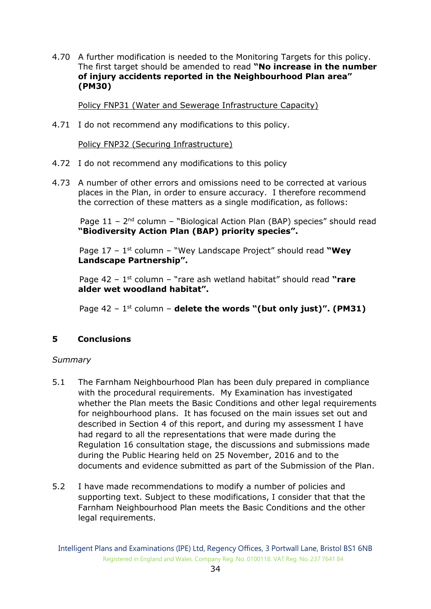4.70 A further modification is needed to the Monitoring Targets for this policy. The first target should be amended to read **"No increase in the number of injury accidents reported in the Neighbourhood Plan area" (PM30)**

Policy FNP31 (Water and Sewerage Infrastructure Capacity)

4.71 I do not recommend any modifications to this policy.

Policy FNP32 (Securing Infrastructure)

- 4.72 I do not recommend any modifications to this policy
- 4.73 A number of other errors and omissions need to be corrected at various places in the Plan, in order to ensure accuracy. I therefore recommend the correction of these matters as a single modification, as follows:

Page  $11 - 2<sup>nd</sup>$  column – "Biological Action Plan (BAP) species" should read **"Biodiversity Action Plan (BAP) priority species".**

Page 17 – 1 st column – "Wey Landscape Project" should read **"Wey Landscape Partnership".**

Page 42 – 1 st column – "rare ash wetland habitat" should read **"rare alder wet woodland habitat".**

Page 42 – 1 st column – **delete the words "(but only just)". (PM31)**

## **5 Conclusions**

#### *Summary*

- 5.1 The Farnham Neighbourhood Plan has been duly prepared in compliance with the procedural requirements. My Examination has investigated whether the Plan meets the Basic Conditions and other legal requirements for neighbourhood plans. It has focused on the main issues set out and described in Section 4 of this report, and during my assessment I have had regard to all the representations that were made during the Regulation 16 consultation stage, the discussions and submissions made during the Public Hearing held on 25 November, 2016 and to the documents and evidence submitted as part of the Submission of the Plan.
- 5.2 I have made recommendations to modify a number of policies and supporting text. Subject to these modifications, I consider that that the Farnham Neighbourhood Plan meets the Basic Conditions and the other legal requirements.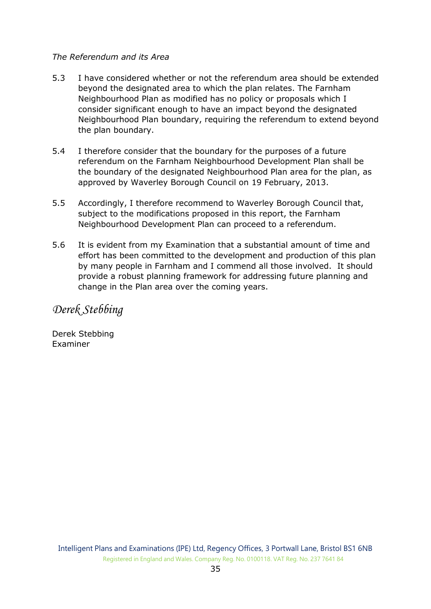## *The Referendum and its Area*

- 5.3 I have considered whether or not the referendum area should be extended beyond the designated area to which the plan relates. The Farnham Neighbourhood Plan as modified has no policy or proposals which I consider significant enough to have an impact beyond the designated Neighbourhood Plan boundary, requiring the referendum to extend beyond the plan boundary.
- 5.4 I therefore consider that the boundary for the purposes of a future referendum on the Farnham Neighbourhood Development Plan shall be the boundary of the designated Neighbourhood Plan area for the plan, as approved by Waverley Borough Council on 19 February, 2013.
- 5.5 Accordingly, I therefore recommend to Waverley Borough Council that, subject to the modifications proposed in this report, the Farnham Neighbourhood Development Plan can proceed to a referendum.
- 5.6 It is evident from my Examination that a substantial amount of time and effort has been committed to the development and production of this plan by many people in Farnham and I commend all those involved. It should provide a robust planning framework for addressing future planning and change in the Plan area over the coming years.

# *Derek Stebbing*

Derek Stebbing Examiner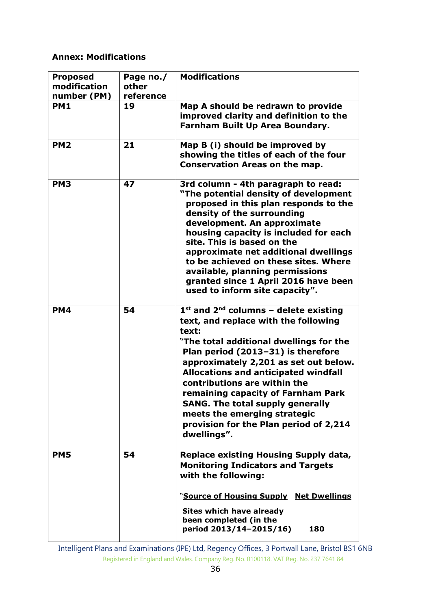## **Annex: Modifications**

| <b>Proposed</b><br>modification<br>number (PM) | Page no./<br>other<br>reference | <b>Modifications</b>                                                                                                                                                                                                                                                                                                                                                                                                                                                          |
|------------------------------------------------|---------------------------------|-------------------------------------------------------------------------------------------------------------------------------------------------------------------------------------------------------------------------------------------------------------------------------------------------------------------------------------------------------------------------------------------------------------------------------------------------------------------------------|
| <b>PM1</b>                                     | 19                              | Map A should be redrawn to provide<br>improved clarity and definition to the<br>Farnham Built Up Area Boundary.                                                                                                                                                                                                                                                                                                                                                               |
| PM <sub>2</sub>                                | 21                              | Map B (i) should be improved by<br>showing the titles of each of the four<br><b>Conservation Areas on the map.</b>                                                                                                                                                                                                                                                                                                                                                            |
| PM <sub>3</sub>                                | 47                              | 3rd column - 4th paragraph to read:<br>"The potential density of development<br>proposed in this plan responds to the<br>density of the surrounding<br>development. An approximate<br>housing capacity is included for each<br>site. This is based on the<br>approximate net additional dwellings<br>to be achieved on these sites. Where<br>available, planning permissions<br>granted since 1 April 2016 have been<br>used to inform site capacity".                        |
| <b>PM4</b>                                     | 54                              | $1st$ and $2nd$ columns – delete existing<br>text, and replace with the following<br>text:<br>"The total additional dwellings for the<br>Plan period (2013-31) is therefore<br>approximately 2,201 as set out below.<br><b>Allocations and anticipated windfall</b><br>contributions are within the<br>remaining capacity of Farnham Park<br><b>SANG. The total supply generally</b><br>meets the emerging strategic<br>provision for the Plan period of 2,214<br>dwellings". |
| <b>PM5</b>                                     | 54                              | <b>Replace existing Housing Supply data,</b><br><b>Monitoring Indicators and Targets</b><br>with the following:<br>"Source of Housing Supply Net Dwellings<br>Sites which have already<br>been completed (in the<br>period 2013/14-2015/16)<br>180                                                                                                                                                                                                                            |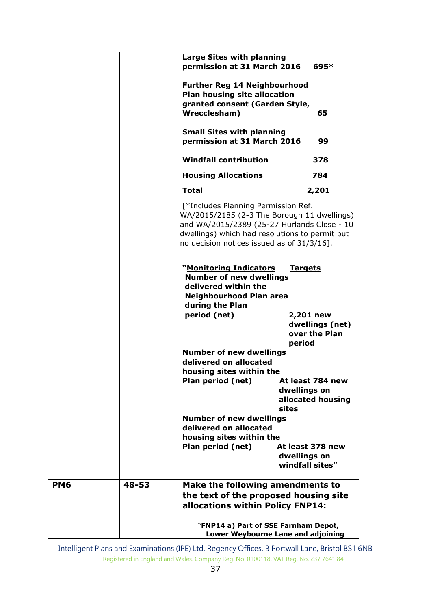|            |       | Large Sites with planning                                                                                                                                                                                                         |                                                       |
|------------|-------|-----------------------------------------------------------------------------------------------------------------------------------------------------------------------------------------------------------------------------------|-------------------------------------------------------|
|            |       | permission at 31 March 2016                                                                                                                                                                                                       | 695*                                                  |
|            |       | <b>Further Reg 14 Neighbourhood</b>                                                                                                                                                                                               |                                                       |
|            |       | <b>Plan housing site allocation</b>                                                                                                                                                                                               |                                                       |
|            |       | granted consent (Garden Style,<br>Wrecclesham)                                                                                                                                                                                    | 65                                                    |
|            |       |                                                                                                                                                                                                                                   |                                                       |
|            |       | <b>Small Sites with planning</b><br>permission at 31 March 2016                                                                                                                                                                   | 99                                                    |
|            |       | <b>Windfall contribution</b>                                                                                                                                                                                                      | 378                                                   |
|            |       | <b>Housing Allocations</b>                                                                                                                                                                                                        | 784                                                   |
|            |       | <b>Total</b>                                                                                                                                                                                                                      | 2,201                                                 |
|            |       | [*Includes Planning Permission Ref.<br>WA/2015/2185 (2-3 The Borough 11 dwellings)<br>and WA/2015/2389 (25-27 Hurlands Close - 10<br>dwellings) which had resolutions to permit but<br>no decision notices issued as of 31/3/16]. |                                                       |
|            |       | "Monitoring Indicators<br><b>Number of new dwellings</b><br>delivered within the<br>Neighbourhood Plan area<br>during the Plan<br>period (net)                                                                                    | <b>Targets</b><br>2,201 new                           |
|            |       |                                                                                                                                                                                                                                   | dwellings (net)<br>over the Plan<br>period            |
|            |       | <b>Number of new dwellings</b>                                                                                                                                                                                                    |                                                       |
|            |       | delivered on allocated                                                                                                                                                                                                            |                                                       |
|            |       | housing sites within the<br>Plan period (net)<br>sites                                                                                                                                                                            | At least 784 new<br>dwellings on<br>allocated housing |
|            |       | <b>Number of new dwellings</b>                                                                                                                                                                                                    |                                                       |
|            |       | delivered on allocated                                                                                                                                                                                                            |                                                       |
|            |       | housing sites within the<br>Plan period (net)                                                                                                                                                                                     | At least 378 new                                      |
|            |       |                                                                                                                                                                                                                                   | dwellings on<br>windfall sites"                       |
| <b>PM6</b> | 48-53 | Make the following amendments to                                                                                                                                                                                                  |                                                       |
|            |       | the text of the proposed housing site                                                                                                                                                                                             |                                                       |
|            |       | allocations within Policy FNP14:                                                                                                                                                                                                  |                                                       |
|            |       | "FNP14 a) Part of SSE Farnham Depot,<br>Lower Weybourne Lane and adjoining                                                                                                                                                        |                                                       |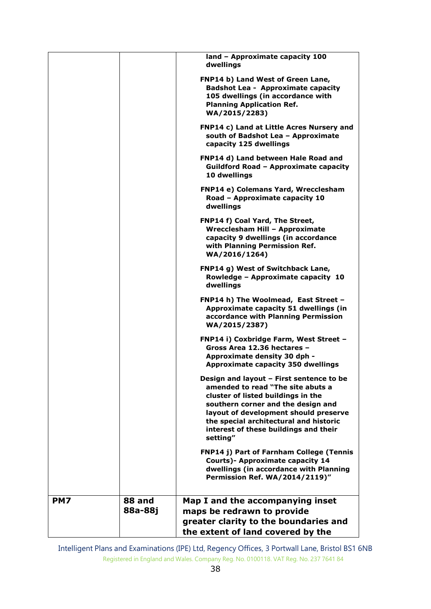|     |         | land - Approximate capacity 100<br>dwellings                                                                                                                                                                                                                                                      |
|-----|---------|---------------------------------------------------------------------------------------------------------------------------------------------------------------------------------------------------------------------------------------------------------------------------------------------------|
|     |         | FNP14 b) Land West of Green Lane,<br><b>Badshot Lea - Approximate capacity</b><br>105 dwellings (in accordance with<br><b>Planning Application Ref.</b><br>WA/2015/2283)                                                                                                                          |
|     |         | FNP14 c) Land at Little Acres Nursery and<br>south of Badshot Lea - Approximate<br>capacity 125 dwellings                                                                                                                                                                                         |
|     |         | FNP14 d) Land between Hale Road and<br><b>Guildford Road - Approximate capacity</b><br>10 dwellings                                                                                                                                                                                               |
|     |         | <b>FNP14 e) Colemans Yard, Wrecclesham</b><br>Road - Approximate capacity 10<br>dwellings                                                                                                                                                                                                         |
|     |         | FNP14 f) Coal Yard, The Street,<br>Wrecclesham Hill - Approximate<br>capacity 9 dwellings (in accordance<br>with Planning Permission Ref.<br>WA/2016/1264)                                                                                                                                        |
|     |         | FNP14 g) West of Switchback Lane,<br>Rowledge - Approximate capacity 10<br>dwellings                                                                                                                                                                                                              |
|     |         | FNP14 h) The Woolmead, East Street -<br>Approximate capacity 51 dwellings (in<br>accordance with Planning Permission<br>WA/2015/2387)                                                                                                                                                             |
|     |         | FNP14 i) Coxbridge Farm, West Street -<br>Gross Area 12.36 hectares -<br>Approximate density 30 dph -<br><b>Approximate capacity 350 dwellings</b>                                                                                                                                                |
|     |         | Design and layout - First sentence to be<br>amended to read "The site abuts a<br>cluster of listed buildings in the<br>southern corner and the design and<br>layout of development should preserve<br>the special architectural and historic<br>interest of these buildings and their<br>setting" |
|     |         | <b>FNP14 j) Part of Farnham College (Tennis</b><br><b>Courts)- Approximate capacity 14</b><br>dwellings (in accordance with Planning<br>Permission Ref. WA/2014/2119)"                                                                                                                            |
|     |         |                                                                                                                                                                                                                                                                                                   |
| PM7 | 88 and  | Map I and the accompanying inset                                                                                                                                                                                                                                                                  |
|     | 88a-88j | maps be redrawn to provide                                                                                                                                                                                                                                                                        |
|     |         | greater clarity to the boundaries and                                                                                                                                                                                                                                                             |
|     |         | the extent of land covered by the                                                                                                                                                                                                                                                                 |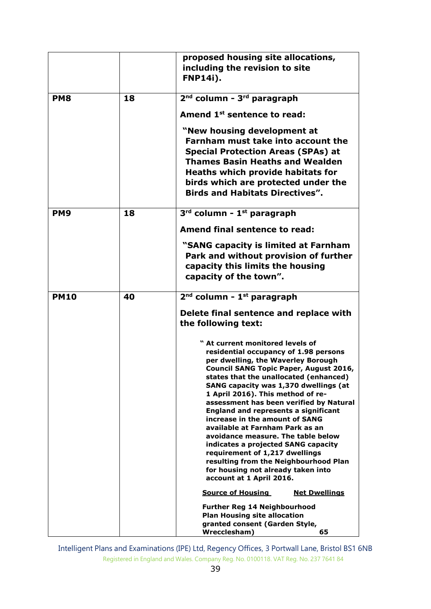|                 |    | proposed housing site allocations,                                                                                                                                                                                                                                                                                                                                                                                                                                                                                                                                                                                                                                         |
|-----------------|----|----------------------------------------------------------------------------------------------------------------------------------------------------------------------------------------------------------------------------------------------------------------------------------------------------------------------------------------------------------------------------------------------------------------------------------------------------------------------------------------------------------------------------------------------------------------------------------------------------------------------------------------------------------------------------|
|                 |    | including the revision to site                                                                                                                                                                                                                                                                                                                                                                                                                                                                                                                                                                                                                                             |
|                 |    | <b>FNP14i).</b>                                                                                                                                                                                                                                                                                                                                                                                                                                                                                                                                                                                                                                                            |
|                 |    |                                                                                                                                                                                                                                                                                                                                                                                                                                                                                                                                                                                                                                                                            |
| PM <sub>8</sub> | 18 | 2 <sup>nd</sup> column - 3 <sup>rd</sup> paragraph                                                                                                                                                                                                                                                                                                                                                                                                                                                                                                                                                                                                                         |
|                 |    | Amend 1 <sup>st</sup> sentence to read:                                                                                                                                                                                                                                                                                                                                                                                                                                                                                                                                                                                                                                    |
|                 |    | "New housing development at<br>Farnham must take into account the<br><b>Special Protection Areas (SPAs) at</b><br><b>Thames Basin Heaths and Wealden</b>                                                                                                                                                                                                                                                                                                                                                                                                                                                                                                                   |
|                 |    | <b>Heaths which provide habitats for</b><br>birds which are protected under the<br><b>Birds and Habitats Directives".</b>                                                                                                                                                                                                                                                                                                                                                                                                                                                                                                                                                  |
| <b>PM9</b>      | 18 | 3rd column - 1st paragraph                                                                                                                                                                                                                                                                                                                                                                                                                                                                                                                                                                                                                                                 |
|                 |    | Amend final sentence to read:                                                                                                                                                                                                                                                                                                                                                                                                                                                                                                                                                                                                                                              |
|                 |    | "SANG capacity is limited at Farnham<br>Park and without provision of further<br>capacity this limits the housing<br>capacity of the town".                                                                                                                                                                                                                                                                                                                                                                                                                                                                                                                                |
| <b>PM10</b>     | 40 | $2nd$ column - $1st$ paragraph                                                                                                                                                                                                                                                                                                                                                                                                                                                                                                                                                                                                                                             |
|                 |    | Delete final sentence and replace with                                                                                                                                                                                                                                                                                                                                                                                                                                                                                                                                                                                                                                     |
|                 |    | the following text:                                                                                                                                                                                                                                                                                                                                                                                                                                                                                                                                                                                                                                                        |
|                 |    | " At current monitored levels of<br>residential occupancy of 1.98 persons<br>per dwelling, the Waverley Borough<br>Council SANG Topic Paper, August 2016,<br>states that the unallocated (enhanced)<br>SANG capacity was 1,370 dwellings (at<br>1 April 2016). This method of re-<br>assessment has been verified by Natural<br><b>England and represents a significant</b><br>increase in the amount of SANG<br>available at Farnham Park as an<br>avoidance measure. The table below<br>indicates a projected SANG capacity<br>requirement of 1,217 dwellings<br>resulting from the Neighbourhood Plan<br>for housing not already taken into<br>account at 1 April 2016. |
|                 |    | <b>Source of Housing</b><br><b>Net Dwellings</b>                                                                                                                                                                                                                                                                                                                                                                                                                                                                                                                                                                                                                           |
|                 |    | <b>Further Reg 14 Neighbourhood</b><br><b>Plan Housing site allocation</b>                                                                                                                                                                                                                                                                                                                                                                                                                                                                                                                                                                                                 |
|                 |    | granted consent (Garden Style,                                                                                                                                                                                                                                                                                                                                                                                                                                                                                                                                                                                                                                             |
|                 |    | Wrecclesham)<br>65                                                                                                                                                                                                                                                                                                                                                                                                                                                                                                                                                                                                                                                         |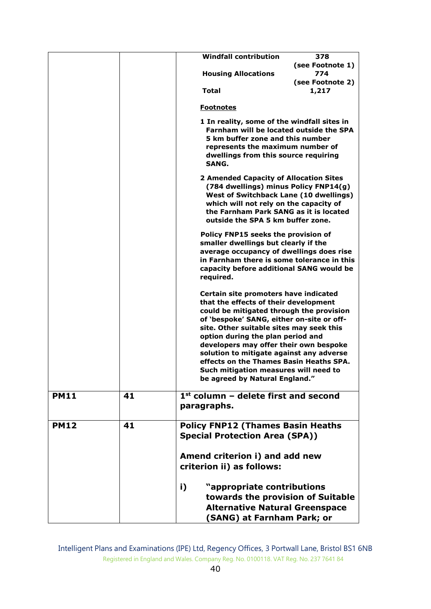|             |    | <b>Windfall contribution</b><br>378<br>(see Footnote 1)                                                                                                                                                                                                                                                                                                                                                                                                              |
|-------------|----|----------------------------------------------------------------------------------------------------------------------------------------------------------------------------------------------------------------------------------------------------------------------------------------------------------------------------------------------------------------------------------------------------------------------------------------------------------------------|
|             |    | 774<br><b>Housing Allocations</b>                                                                                                                                                                                                                                                                                                                                                                                                                                    |
|             |    | (see Footnote 2)<br><b>Total</b><br>1,217                                                                                                                                                                                                                                                                                                                                                                                                                            |
|             |    |                                                                                                                                                                                                                                                                                                                                                                                                                                                                      |
|             |    | <b>Footnotes</b>                                                                                                                                                                                                                                                                                                                                                                                                                                                     |
|             |    | 1 In reality, some of the windfall sites in<br>Farnham will be located outside the SPA<br>5 km buffer zone and this number<br>represents the maximum number of<br>dwellings from this source requiring<br>SANG.                                                                                                                                                                                                                                                      |
|             |    | 2 Amended Capacity of Allocation Sites<br>(784 dwellings) minus Policy FNP14(g)<br><b>West of Switchback Lane (10 dwellings)</b><br>which will not rely on the capacity of<br>the Farnham Park SANG as it is located<br>outside the SPA 5 km buffer zone.                                                                                                                                                                                                            |
|             |    | Policy FNP15 seeks the provision of<br>smaller dwellings but clearly if the<br>average occupancy of dwellings does rise<br>in Farnham there is some tolerance in this<br>capacity before additional SANG would be<br>required.                                                                                                                                                                                                                                       |
|             |    | Certain site promoters have indicated<br>that the effects of their development<br>could be mitigated through the provision<br>of 'bespoke' SANG, either on-site or off-<br>site. Other suitable sites may seek this<br>option during the plan period and<br>developers may offer their own bespoke<br>solution to mitigate against any adverse<br>effects on the Thames Basin Heaths SPA.<br>Such mitigation measures will need to<br>be agreed by Natural England." |
| <b>PM11</b> | 41 | $1st$ column - delete first and second<br>paragraphs.                                                                                                                                                                                                                                                                                                                                                                                                                |
| <b>PM12</b> | 41 | <b>Policy FNP12 (Thames Basin Heaths)</b><br><b>Special Protection Area (SPA))</b>                                                                                                                                                                                                                                                                                                                                                                                   |
|             |    | Amend criterion i) and add new<br>criterion ii) as follows:                                                                                                                                                                                                                                                                                                                                                                                                          |
|             |    | i)<br>"appropriate contributions<br>towards the provision of Suitable<br><b>Alternative Natural Greenspace</b><br>(SANG) at Farnham Park; or                                                                                                                                                                                                                                                                                                                         |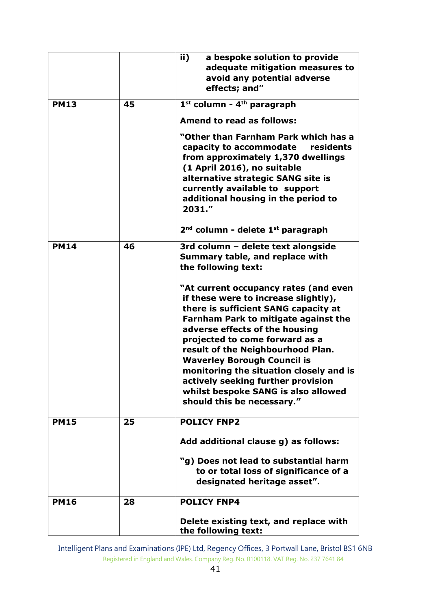|             |    | ii)<br>a bespoke solution to provide<br>adequate mitigation measures to<br>avoid any potential adverse<br>effects; and"                                                                                                                                                                                                                                                                                                                                                   |
|-------------|----|---------------------------------------------------------------------------------------------------------------------------------------------------------------------------------------------------------------------------------------------------------------------------------------------------------------------------------------------------------------------------------------------------------------------------------------------------------------------------|
| <b>PM13</b> | 45 | 1st column - 4 <sup>th</sup> paragraph                                                                                                                                                                                                                                                                                                                                                                                                                                    |
|             |    | <b>Amend to read as follows:</b>                                                                                                                                                                                                                                                                                                                                                                                                                                          |
|             |    | "Other than Farnham Park which has a<br>residents<br>capacity to accommodate<br>from approximately 1,370 dwellings<br>(1 April 2016), no suitable<br>alternative strategic SANG site is<br>currently available to support<br>additional housing in the period to<br>2031."                                                                                                                                                                                                |
|             |    | $2nd$ column - delete $1st$ paragraph                                                                                                                                                                                                                                                                                                                                                                                                                                     |
| <b>PM14</b> | 46 | 3rd column - delete text alongside<br>Summary table, and replace with<br>the following text:                                                                                                                                                                                                                                                                                                                                                                              |
|             |    | "At current occupancy rates (and even<br>if these were to increase slightly),<br>there is sufficient SANG capacity at<br><b>Farnham Park to mitigate against the</b><br>adverse effects of the housing<br>projected to come forward as a<br>result of the Neighbourhood Plan.<br><b>Waverley Borough Council is</b><br>monitoring the situation closely and is<br>actively seeking further provision<br>whilst bespoke SANG is also allowed<br>should this be necessary." |
| <b>PM15</b> | 25 | <b>POLICY FNP2</b>                                                                                                                                                                                                                                                                                                                                                                                                                                                        |
|             |    | Add additional clause g) as follows:                                                                                                                                                                                                                                                                                                                                                                                                                                      |
|             |    | "g) Does not lead to substantial harm<br>to or total loss of significance of a<br>designated heritage asset".                                                                                                                                                                                                                                                                                                                                                             |
| <b>PM16</b> | 28 | <b>POLICY FNP4</b>                                                                                                                                                                                                                                                                                                                                                                                                                                                        |
|             |    | Delete existing text, and replace with<br>the following text:                                                                                                                                                                                                                                                                                                                                                                                                             |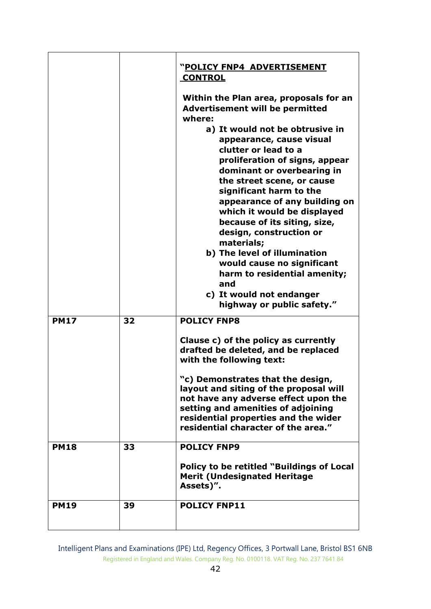|             |    | "POLICY FNP4 ADVERTISEMENT                                                                                                                                                                                                                                                                                                                                                                                                                                                                                                                        |
|-------------|----|---------------------------------------------------------------------------------------------------------------------------------------------------------------------------------------------------------------------------------------------------------------------------------------------------------------------------------------------------------------------------------------------------------------------------------------------------------------------------------------------------------------------------------------------------|
|             |    | <b>CONTROL</b>                                                                                                                                                                                                                                                                                                                                                                                                                                                                                                                                    |
|             |    | Within the Plan area, proposals for an<br><b>Advertisement will be permitted</b><br>where:<br>a) It would not be obtrusive in<br>appearance, cause visual<br>clutter or lead to a<br>proliferation of signs, appear<br>dominant or overbearing in<br>the street scene, or cause<br>significant harm to the<br>appearance of any building on<br>which it would be displayed<br>because of its siting, size,<br>design, construction or<br>materials;<br>b) The level of illumination<br>would cause no significant<br>harm to residential amenity; |
|             |    | and                                                                                                                                                                                                                                                                                                                                                                                                                                                                                                                                               |
|             |    | c) It would not endanger<br>highway or public safety."                                                                                                                                                                                                                                                                                                                                                                                                                                                                                            |
| <b>PM17</b> | 32 | <b>POLICY FNP8</b>                                                                                                                                                                                                                                                                                                                                                                                                                                                                                                                                |
|             |    | Clause c) of the policy as currently<br>drafted be deleted, and be replaced<br>with the following text:                                                                                                                                                                                                                                                                                                                                                                                                                                           |
|             |    | "c) Demonstrates that the design,<br>layout and siting of the proposal will<br>not have any adverse effect upon the<br>setting and amenities of adjoining<br>residential properties and the wider<br>residential character of the area."                                                                                                                                                                                                                                                                                                          |
| <b>PM18</b> | 33 | <b>POLICY FNP9</b>                                                                                                                                                                                                                                                                                                                                                                                                                                                                                                                                |
|             |    | Policy to be retitled "Buildings of Local<br><b>Merit (Undesignated Heritage</b><br>Assets)".                                                                                                                                                                                                                                                                                                                                                                                                                                                     |
| <b>PM19</b> | 39 | <b>POLICY FNP11</b>                                                                                                                                                                                                                                                                                                                                                                                                                                                                                                                               |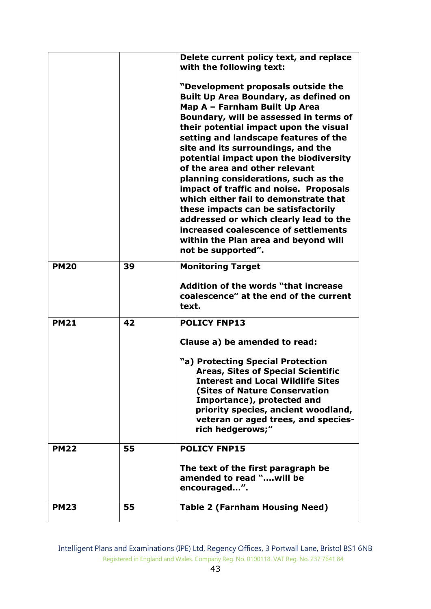|             |    | Delete current policy text, and replace<br>with the following text:<br>"Development proposals outside the<br><b>Built Up Area Boundary, as defined on</b><br>Map A - Farnham Built Up Area<br>Boundary, will be assessed in terms of<br>their potential impact upon the visual<br>setting and landscape features of the<br>site and its surroundings, and the<br>potential impact upon the biodiversity<br>of the area and other relevant<br>planning considerations, such as the<br>impact of traffic and noise. Proposals<br>which either fail to demonstrate that<br>these impacts can be satisfactorily<br>addressed or which clearly lead to the<br>increased coalescence of settlements<br>within the Plan area and beyond will<br>not be supported". |
|-------------|----|-------------------------------------------------------------------------------------------------------------------------------------------------------------------------------------------------------------------------------------------------------------------------------------------------------------------------------------------------------------------------------------------------------------------------------------------------------------------------------------------------------------------------------------------------------------------------------------------------------------------------------------------------------------------------------------------------------------------------------------------------------------|
| <b>PM20</b> | 39 | <b>Monitoring Target</b><br>Addition of the words "that increase<br>coalescence" at the end of the current<br>text.                                                                                                                                                                                                                                                                                                                                                                                                                                                                                                                                                                                                                                         |
| <b>PM21</b> | 42 | <b>POLICY FNP13</b><br>Clause a) be amended to read:<br>"a) Protecting Special Protection<br><b>Areas, Sites of Special Scientific</b><br><b>Interest and Local Wildlife Sites</b><br><b>(Sites of Nature Conservation</b><br>Importance), protected and<br>priority species, ancient woodland,<br>veteran or aged trees, and species-<br>rich hedgerows;"                                                                                                                                                                                                                                                                                                                                                                                                  |
| <b>PM22</b> | 55 | <b>POLICY FNP15</b><br>The text of the first paragraph be<br>amended to read "will be<br>encouraged".                                                                                                                                                                                                                                                                                                                                                                                                                                                                                                                                                                                                                                                       |
| <b>PM23</b> | 55 | <b>Table 2 (Farnham Housing Need)</b>                                                                                                                                                                                                                                                                                                                                                                                                                                                                                                                                                                                                                                                                                                                       |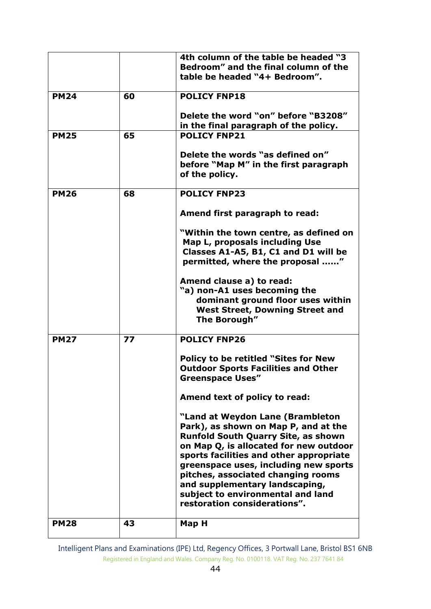|             |    | 4th column of the table be headed "3                                                        |
|-------------|----|---------------------------------------------------------------------------------------------|
|             |    | Bedroom" and the final column of the                                                        |
|             |    | table be headed "4+ Bedroom".                                                               |
|             |    |                                                                                             |
| <b>PM24</b> | 60 | <b>POLICY FNP18</b>                                                                         |
|             |    | Delete the word "on" before "B3208"                                                         |
|             |    | in the final paragraph of the policy.                                                       |
| <b>PM25</b> | 65 | <b>POLICY FNP21</b>                                                                         |
|             |    |                                                                                             |
|             |    | Delete the words "as defined on"<br>before "Map M" in the first paragraph<br>of the policy. |
|             |    |                                                                                             |
| <b>PM26</b> | 68 | <b>POLICY FNP23</b>                                                                         |
|             |    | Amend first paragraph to read:                                                              |
|             |    | "Within the town centre, as defined on                                                      |
|             |    | Map L, proposals including Use                                                              |
|             |    | Classes A1-A5, B1, C1 and D1 will be                                                        |
|             |    | permitted, where the proposal "                                                             |
|             |    | Amend clause a) to read:                                                                    |
|             |    | "a) non-A1 uses becoming the                                                                |
|             |    | dominant ground floor uses within                                                           |
|             |    | <b>West Street, Downing Street and</b>                                                      |
|             |    | The Borough"                                                                                |
|             |    |                                                                                             |
| <b>PM27</b> | 77 | <b>POLICY FNP26</b>                                                                         |
|             |    | <b>Policy to be retitled "Sites for New</b>                                                 |
|             |    | <b>Outdoor Sports Facilities and Other</b>                                                  |
|             |    | <b>Greenspace Uses"</b>                                                                     |
|             |    | Amend text of policy to read:                                                               |
|             |    |                                                                                             |
|             |    | "Land at Weydon Lane (Brambleton                                                            |
|             |    | Park), as shown on Map P, and at the                                                        |
|             |    | <b>Runfold South Quarry Site, as shown</b>                                                  |
|             |    | on Map Q, is allocated for new outdoor                                                      |
|             |    | sports facilities and other appropriate                                                     |
|             |    | greenspace uses, including new sports                                                       |
|             |    | pitches, associated changing rooms                                                          |
|             |    | and supplementary landscaping,                                                              |
|             |    | subject to environmental and land                                                           |
|             |    | restoration considerations".                                                                |
| <b>PM28</b> | 43 | Map H                                                                                       |
|             |    |                                                                                             |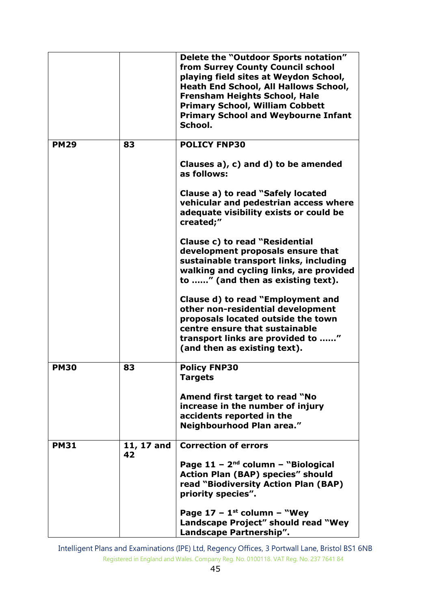|             |                  | Delete the "Outdoor Sports notation"<br>from Surrey County Council school<br>playing field sites at Weydon School,<br><b>Heath End School, All Hallows School,</b><br><b>Frensham Heights School, Hale</b><br><b>Primary School, William Cobbett</b><br><b>Primary School and Weybourne Infant</b><br>School. |
|-------------|------------------|---------------------------------------------------------------------------------------------------------------------------------------------------------------------------------------------------------------------------------------------------------------------------------------------------------------|
| <b>PM29</b> | 83               | <b>POLICY FNP30</b>                                                                                                                                                                                                                                                                                           |
|             |                  | Clauses a), c) and d) to be amended<br>as follows:                                                                                                                                                                                                                                                            |
|             |                  | Clause a) to read "Safely located<br>vehicular and pedestrian access where<br>adequate visibility exists or could be<br>created;"                                                                                                                                                                             |
|             |                  | Clause c) to read "Residential<br>development proposals ensure that<br>sustainable transport links, including<br>walking and cycling links, are provided<br>to " (and then as existing text).                                                                                                                 |
|             |                  | Clause d) to read "Employment and<br>other non-residential development<br>proposals located outside the town<br>centre ensure that sustainable<br>transport links are provided to "<br>(and then as existing text).                                                                                           |
| <b>PM30</b> | 83               | <b>Policy FNP30</b><br>Targets                                                                                                                                                                                                                                                                                |
|             |                  | Amend first target to read "No<br>increase in the number of injury<br>accidents reported in the<br>Neighbourhood Plan area."                                                                                                                                                                                  |
| <b>PM31</b> | 11, 17 and<br>42 | <b>Correction of errors</b>                                                                                                                                                                                                                                                                                   |
|             |                  | Page $11 - 2^{nd}$ column - "Biological<br><b>Action Plan (BAP) species" should</b><br>read "Biodiversity Action Plan (BAP)<br>priority species".                                                                                                                                                             |
|             |                  | Page $17 - 1$ <sup>st</sup> column – "Wey<br>Landscape Project" should read "Wey<br>Landscape Partnership".                                                                                                                                                                                                   |